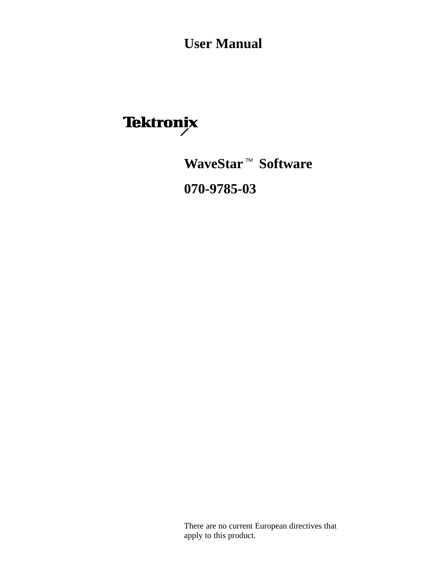**User Manual**

Tektronix<br>WaveStar<sup>™</sup> Software **070-9785-03**

> There are no current European directives that apply to this product.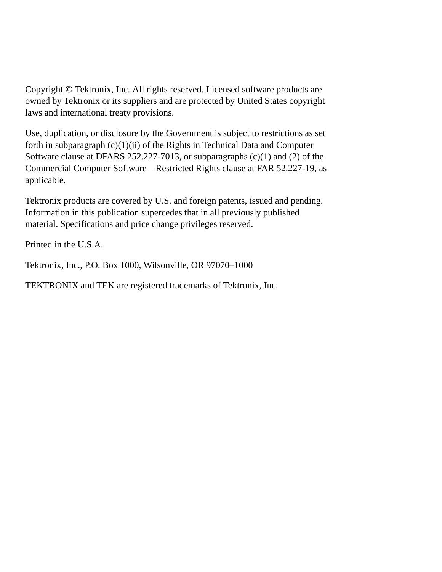Copyright © Tektronix, Inc. All rights reserved. Licensed software products are owned by Tektronix or its suppliers and are protected by United States copyright laws and international treaty provisions.

Use, duplication, or disclosure by the Government is subject to restrictions as set forth in subparagraph  $(c)(1)(ii)$  of the Rights in Technical Data and Computer Software clause at DFARS 252.227-7013, or subparagraphs (c)(1) and (2) of the Commercial Computer Software – Restricted Rights clause at FAR 52.227-19, as applicable.

Tektronix products are covered by U.S. and foreign patents, issued and pending. Information in this publication supercedes that in all previously published material. Specifications and price change privileges reserved.

Printed in the U.S.A.

Tektronix, Inc., P.O. Box 1000, Wilsonville, OR 97070–1000

TEKTRONIX and TEK are registered trademarks of Tektronix, Inc.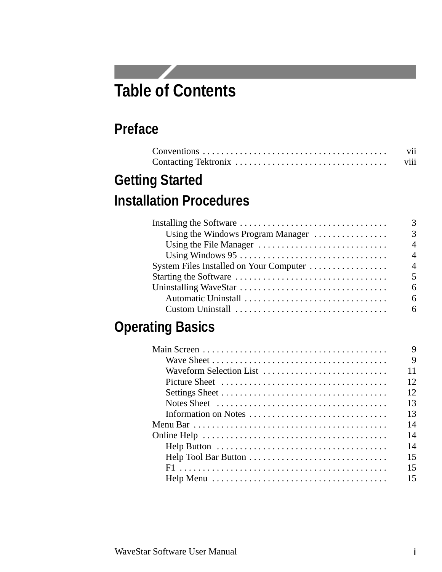# **Table of Contents**

**Service** 

# **Preface**

| V11  |
|------|
| V111 |

# **Getting Started Installation Procedures**

|                                         | 3                           |
|-----------------------------------------|-----------------------------|
| Using the Windows Program Manager       | 3                           |
|                                         | $\boldsymbol{\vartriangle}$ |
|                                         | $\boldsymbol{\vartriangle}$ |
| System Files Installed on Your Computer | $\boldsymbol{\vartriangle}$ |
|                                         | $\overline{\phantom{1}}$    |
|                                         | 6                           |
|                                         | 6                           |
|                                         | 6                           |

# **Operating Basics**

|                                                                                              | 9  |
|----------------------------------------------------------------------------------------------|----|
|                                                                                              | 9  |
| Waveform Selection List                                                                      | 11 |
|                                                                                              | 12 |
|                                                                                              | 12 |
| Notes Sheet $\ldots, \ldots, \ldots, \ldots, \ldots, \ldots, \ldots, \ldots, \ldots, \ldots$ | 13 |
| Information on Notes                                                                         | 13 |
|                                                                                              | 14 |
|                                                                                              | 14 |
|                                                                                              | 14 |
|                                                                                              | 15 |
|                                                                                              | 15 |
|                                                                                              | 15 |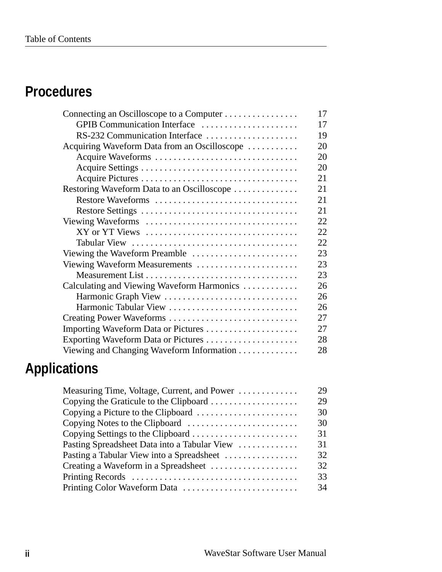# **Procedures**

| 17 |
|----|
| 17 |
| 19 |
| 20 |
| 20 |
| 20 |
| 21 |
| 21 |
| 21 |
| 21 |
| 22 |
| 22 |
| 22 |
| 23 |
| 23 |
| 23 |
| 26 |
| 26 |
| 26 |
| 27 |
| 27 |
| 28 |
| 28 |
|    |

# **Applications**

| 29 |
|----|
| 29 |
| 30 |
| 30 |
| 31 |
| 31 |
| 32 |
| 32 |
| 33 |
| 34 |
|    |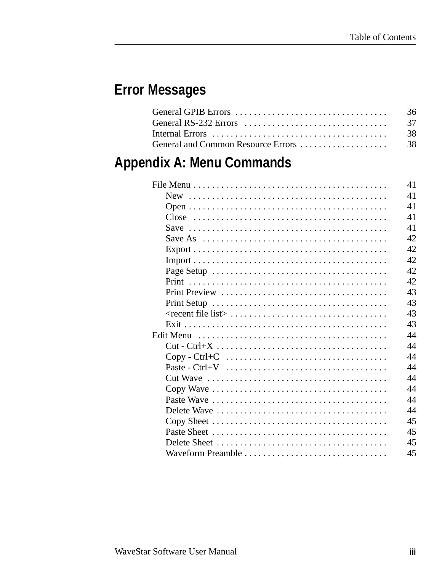# **Error Messages**

|                                                                                      | -36  |
|--------------------------------------------------------------------------------------|------|
| General RS-232 Errors $\dots\dots\dots\dots\dots\dots\dots\dots\dots\dots\dots\dots$ | - 37 |
|                                                                                      | -38  |
|                                                                                      |      |
|                                                                                      |      |

# **Appendix A: Menu Commands**

|                                                                                         | 41 |
|-----------------------------------------------------------------------------------------|----|
|                                                                                         | 41 |
|                                                                                         | 41 |
|                                                                                         | 41 |
|                                                                                         | 41 |
| Save As $\dots \dots \dots \dots \dots \dots \dots \dots \dots \dots \dots \dots \dots$ | 42 |
|                                                                                         | 42 |
|                                                                                         | 42 |
|                                                                                         | 42 |
|                                                                                         | 42 |
|                                                                                         | 43 |
|                                                                                         | 43 |
|                                                                                         | 43 |
|                                                                                         | 43 |
|                                                                                         | 44 |
|                                                                                         | 44 |
|                                                                                         | 44 |
|                                                                                         | 44 |
|                                                                                         | 44 |
|                                                                                         | 44 |
|                                                                                         | 44 |
|                                                                                         | 44 |
|                                                                                         | 45 |
|                                                                                         | 45 |
|                                                                                         | 45 |
|                                                                                         | 45 |
|                                                                                         |    |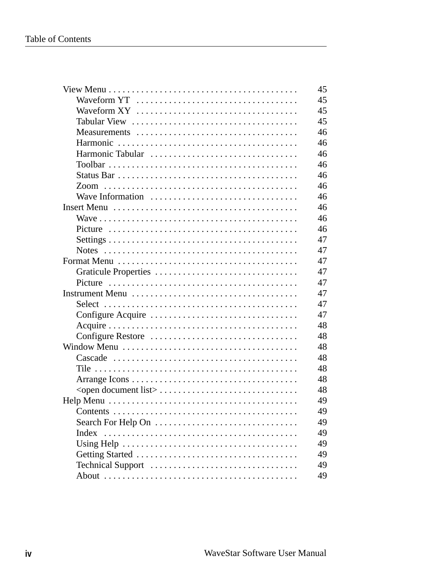|                    | 45 |
|--------------------|----|
|                    | 45 |
|                    | 45 |
|                    | 45 |
|                    | 46 |
|                    | 46 |
| Harmonic Tabular   | 46 |
|                    | 46 |
|                    | 46 |
|                    | 46 |
| Wave Information   | 46 |
|                    | 46 |
|                    | 46 |
|                    | 46 |
|                    | 47 |
|                    | 47 |
|                    | 47 |
|                    | 47 |
|                    | 47 |
|                    | 47 |
|                    | 47 |
|                    | 47 |
|                    | 48 |
| Configure Restore  | 48 |
|                    | 48 |
|                    | 48 |
|                    | 48 |
|                    | 48 |
|                    | 48 |
|                    |    |
|                    | 49 |
|                    | 49 |
| Search For Help On | 49 |
| Index              | 49 |
|                    | 49 |
|                    | 49 |
| Technical Support  | 49 |
|                    | 49 |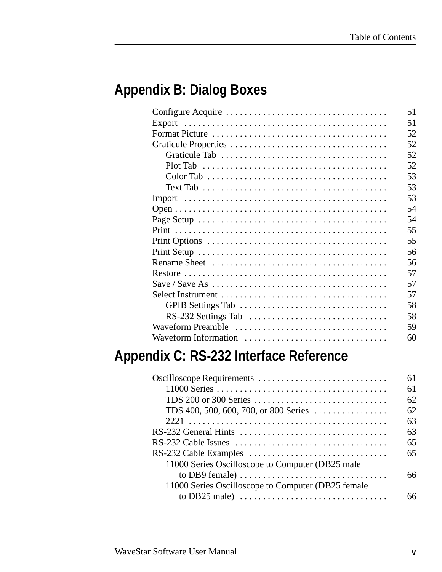# **Appendix B: Dialog Boxes**

|                                                                                                | 51 |
|------------------------------------------------------------------------------------------------|----|
|                                                                                                | 51 |
|                                                                                                | 52 |
|                                                                                                | 52 |
|                                                                                                | 52 |
|                                                                                                | 52 |
|                                                                                                | 53 |
| Text Tab $\ldots \ldots \ldots \ldots \ldots \ldots \ldots \ldots \ldots \ldots \ldots \ldots$ | 53 |
|                                                                                                | 53 |
|                                                                                                | 54 |
|                                                                                                | 54 |
|                                                                                                | 55 |
|                                                                                                | 55 |
|                                                                                                | 56 |
|                                                                                                | 56 |
|                                                                                                | 57 |
|                                                                                                | 57 |
|                                                                                                | 57 |
|                                                                                                | 58 |
| RS-232 Settings Tab                                                                            | 58 |
| Waveform Preamble                                                                              | 59 |
|                                                                                                | 60 |
|                                                                                                |    |

# **Appendix C: RS-232 Interface Reference**

|                                                                                    | 61 |
|------------------------------------------------------------------------------------|----|
|                                                                                    | 61 |
| TDS 200 or 300 Series                                                              | 62 |
| TDS 400, 500, 600, 700, or 800 Series                                              | 62 |
|                                                                                    | 63 |
|                                                                                    | 63 |
|                                                                                    | 65 |
|                                                                                    | 65 |
| 11000 Series Oscilloscope to Computer (DB25 male                                   |    |
| to DB9 female) $\dots \dots \dots \dots \dots \dots \dots \dots \dots \dots \dots$ | 66 |
| 11000 Series Oscilloscope to Computer (DB25 female                                 |    |
|                                                                                    |    |
|                                                                                    |    |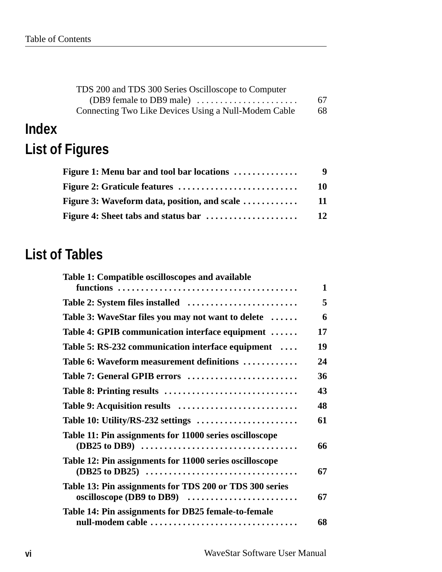| TDS 200 and TDS 300 Series Oscilloscope to Computer  |    |
|------------------------------------------------------|----|
|                                                      | 67 |
| Connecting Two Like Devices Using a Null-Modem Cable | 68 |

# **Index List of Figures**

| Figure 1: Menu bar and tool bar locations            | 9   |
|------------------------------------------------------|-----|
|                                                      | 10  |
| <b>Figure 3: Waveform data, position, and scale </b> | -11 |
|                                                      | 12  |

# **List of Tables**

| Table 1: Compatible oscilloscopes and available                                                                                                                |              |
|----------------------------------------------------------------------------------------------------------------------------------------------------------------|--------------|
|                                                                                                                                                                | $\mathbf{1}$ |
|                                                                                                                                                                | 5            |
| Table 3: WaveStar files you may not want to delete                                                                                                             | 6            |
| Table 4: GPIB communication interface equipment                                                                                                                | 17           |
| Table 5: RS-232 communication interface equipment                                                                                                              | 19           |
| Table 6: Waveform measurement definitions                                                                                                                      | 24           |
| Table 7: General GPIB errors                                                                                                                                   | 36           |
| Table 8: Printing results                                                                                                                                      | 43           |
|                                                                                                                                                                | 48           |
| Table 10: Utility/RS-232 settings                                                                                                                              | 61           |
| Table 11: Pin assignments for 11000 series oscilloscope<br>$(DB25 to DB9) \cdots \cdots \cdots \cdots \cdots \cdots \cdots \cdots \cdots \cdots \cdots \cdots$ | 66           |
| Table 12: Pin assignments for 11000 series oscilloscope                                                                                                        | 67           |
| Table 13: Pin assignments for TDS 200 or TDS 300 series<br>oscilloscope (DB9 to DB9)                                                                           | 67           |
| Table 14: Pin assignments for DB25 female-to-female<br>null-modem cable                                                                                        | 68           |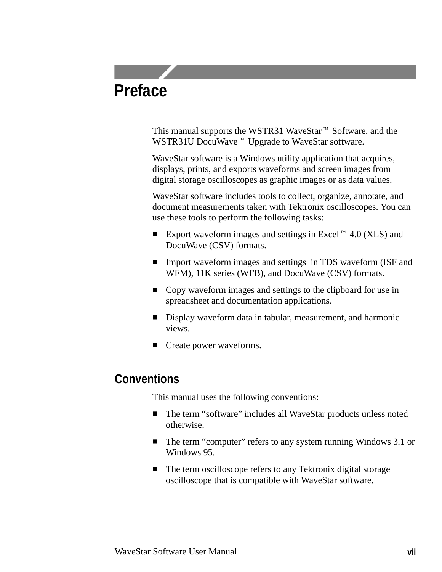# **Preface**

This manual supports the WSTR31 WaveStar<sup>™</sup> Software, and the This manual supports the WSTR31 WaveStar™ Software<br>WSTR31U DocuWave™ Upgrade to WaveStar software.

WaveStar software is a Windows utility application that acquires, displays, prints, and exports waveforms and screen images from digital storage oscilloscopes as graphic images or as data values.

WaveStar software includes tools to collect, organize, annotate, and document measurements taken with Tektronix oscilloscopes. You can use these tools to perform the following tasks: use these tools to perform the following tasks:<br>  $\blacksquare$  Export waveform images and settings in Excel<sup>-14</sup> 4.0 (XLS) and

- DocuWave (CSV) formats.
- Import waveform images and settings in TDS waveform (ISF and WFM), 11K series (WFB), and DocuWave (CSV) formats.
- Copy waveform images and settings to the clipboard for use in spreadsheet and documentation applications.
- Display waveform data in tabular, measurement, and harmonic views.
- Create power waveforms.

### **Conventions**

This manual uses the following conventions:

- The term "software" includes all WaveStar products unless noted otherwise.
- The term "computer" refers to any system running Windows 3.1 or Windows 95.
- The term oscilloscope refers to any Tektronix digital storage oscilloscope that is compatible with WaveStar software.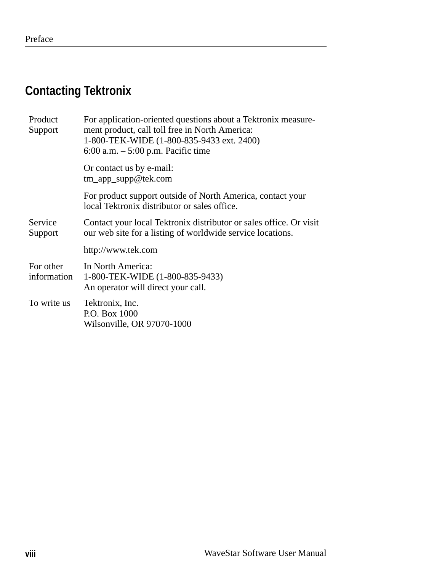# **Contacting Tektronix**

| Product<br>Support       | For application-oriented questions about a Tektronix measure-<br>ment product, call toll free in North America:<br>1-800-TEK-WIDE (1-800-835-9433 ext. 2400)<br>6:00 a.m. $-5:00$ p.m. Pacific time |
|--------------------------|-----------------------------------------------------------------------------------------------------------------------------------------------------------------------------------------------------|
|                          | Or contact us by e-mail:<br>tm_app_supp@tek.com                                                                                                                                                     |
|                          | For product support outside of North America, contact your<br>local Tektronix distributor or sales office.                                                                                          |
| Service<br>Support       | Contact your local Tektronix distributor or sales office. Or visit<br>our web site for a listing of worldwide service locations.                                                                    |
|                          | http://www.tek.com                                                                                                                                                                                  |
| For other<br>information | In North America:<br>1-800-TEK-WIDE (1-800-835-9433)<br>An operator will direct your call.                                                                                                          |
| To write us              | Tektronix, Inc.<br>P.O. Box 1000<br>Wilsonville, OR 97070-1000                                                                                                                                      |
|                          |                                                                                                                                                                                                     |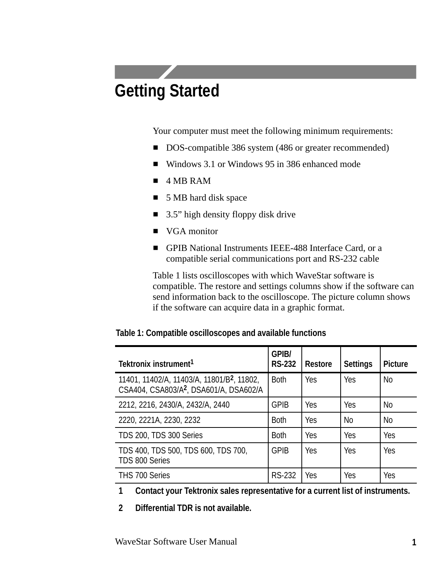# **Getting Started**

Your computer must meet the following minimum requirements:

- DOS-compatible 386 system (486 or greater recommended)
- Windows 3.1 or Windows 95 in 386 enhanced mode
- $\blacksquare$  4 MB RAM
- 5 MB hard disk space
- 3.5" high density floppy disk drive
- VGA monitor
- GPIB National Instruments IEEE-488 Interface Card, or a compatible serial communications port and RS-232 cable

Table 1 lists oscilloscopes with which WaveStar software is compatible. The restore and settings columns show if the software can send information back to the oscilloscope. The picture column shows if the software can acquire data in a graphic format.

| Tektronix instrument <sup>1</sup>                                                                            | <b>GPIB/</b><br><b>RS-232</b> | <b>Restore</b> | <b>Settings</b> | <b>Picture</b> |
|--------------------------------------------------------------------------------------------------------------|-------------------------------|----------------|-----------------|----------------|
| 11401, 11402/A, 11403/A, 11801/B <sup>2</sup> , 11802,<br>CSA404, CSA803/A <sup>2</sup> , DSA601/A, DSA602/A | <b>Both</b>                   | <b>Yes</b>     | Yes             | <b>No</b>      |
| 2212, 2216, 2430/A, 2432/A, 2440                                                                             | <b>GPIB</b>                   | <b>Yes</b>     | Yes             | <b>No</b>      |
| 2220, 2221A, 2230, 2232                                                                                      | <b>Both</b>                   | Yes            | <b>No</b>       | <b>No</b>      |
| TDS 200, TDS 300 Series                                                                                      | <b>Both</b>                   | Yes            | Yes             | Yes            |
| TDS 400, TDS 500, TDS 600, TDS 700,<br>TDS 800 Series                                                        | <b>GPIB</b>                   | Yes            | Yes             | Yes            |
| THS 700 Series                                                                                               | <b>RS-232</b>                 | Yes            | Yes             | Yes            |

|  | Table 1: Compatible oscilloscopes and available functions |  |  |
|--|-----------------------------------------------------------|--|--|
|--|-----------------------------------------------------------|--|--|

**1 Contact your Tektronix sales representative for a current list of instruments.**

**2 Differential TDR is not available.**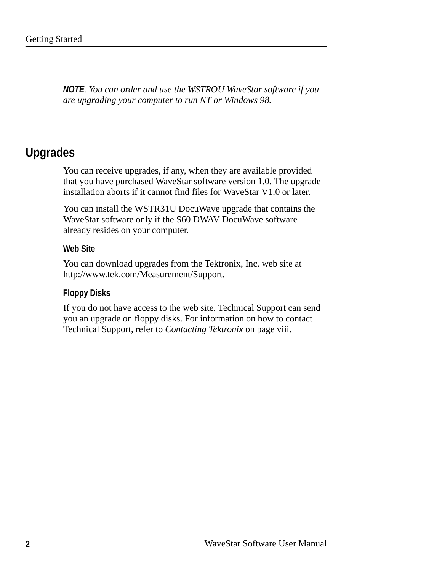*NOTE. You can order and use the WSTROU WaveStar software if you are upgrading your computer to run NT or Windows 98.*

## **Upgrades**

You can receive upgrades, if any, when they are available provided that you have purchased WaveStar software version 1.0. The upgrade installation aborts if it cannot find files for WaveStar V1.0 or later.

You can install the WSTR31U DocuWave upgrade that contains the WaveStar software only if the S60 DWAV DocuWave software already resides on your computer.

#### **Web Site**

You can download upgrades from the Tektronix, Inc. web site at http://www.tek.com/Measurement/Support.

#### **Floppy Disks**

If you do not have access to the web site, Technical Support can send you an upgrade on floppy disks. For information on how to contact Technical Support, refer to *Contacting Tektronix* on page viii.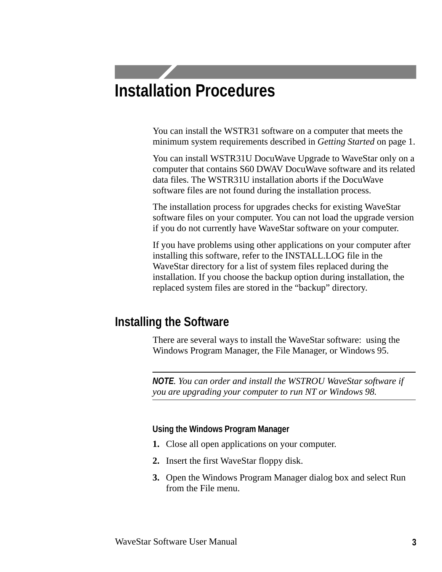# **Installation Procedures**

You can install the WSTR31 software on a computer that meets the minimum system requirements described in *Getting Started* on page 1.

You can install WSTR31U DocuWave Upgrade to WaveStar only on a computer that contains S60 DWAV DocuWave software and its related data files. The WSTR31U installation aborts if the DocuWave software files are not found during the installation process.

The installation process for upgrades checks for existing WaveStar software files on your computer. You can not load the upgrade version if you do not currently have WaveStar software on your computer.

If you have problems using other applications on your computer after installing this software, refer to the INSTALL.LOG file in the WaveStar directory for a list of system files replaced during the installation. If you choose the backup option during installation, the replaced system files are stored in the "backup" directory.

## **Installing the Software**

There are several ways to install the WaveStar software: using the Windows Program Manager, the File Manager, or Windows 95.

*NOTE. You can order and install the WSTROU WaveStar software if you are upgrading your computer to run NT or Windows 98.*

#### **Using the Windows Program Manager**

- **1.** Close all open applications on your computer.
- **2.** Insert the first WaveStar floppy disk.
- **3.** Open the Windows Program Manager dialog box and select Run from the File menu.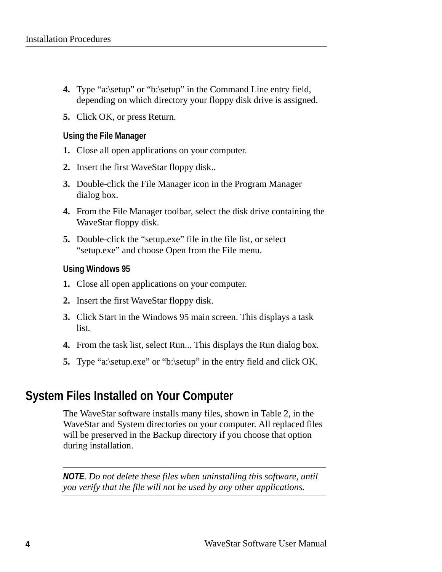- **4.** Type "a:\setup" or "b:\setup" in the Command Line entry field, depending on which directory your floppy disk drive is assigned.
- **5.** Click OK, or press Return.

#### **Using the File Manager**

- **1.** Close all open applications on your computer.
- **2.** Insert the first WaveStar floppy disk..
- **3.** Double-click the File Manager icon in the Program Manager dialog box.
- **4.** From the File Manager toolbar, select the disk drive containing the WaveStar floppy disk.
- **5.** Double-click the "setup.exe" file in the file list, or select "setup.exe" and choose Open from the File menu.

#### **Using Windows 95**

- **1.** Close all open applications on your computer.
- **2.** Insert the first WaveStar floppy disk.
- **3.** Click Start in the Windows 95 main screen. This displays a task list.
- **4.** From the task list, select Run... This displays the Run dialog box.
- **5.** Type "a:\setup.exe" or "b:\setup" in the entry field and click OK.

## **System Files Installed on Your Computer**

The WaveStar software installs many files, shown in Table 2, in the WaveStar and System directories on your computer. All replaced files will be preserved in the Backup directory if you choose that option during installation.

*NOTE. Do not delete these files when uninstalling this software, until you verify that the file will not be used by any other applications.*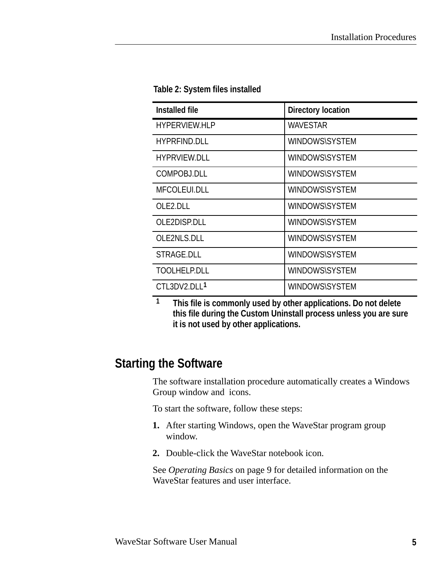| <b>Installed file</b>    | <b>Directory location</b> |
|--------------------------|---------------------------|
| <b>HYPERVIEW.HLP</b>     | <b>WAVESTAR</b>           |
| <b>HYPRFIND.DLL</b>      | <b>WINDOWS\SYSTEM</b>     |
| <b>HYPRVIEW.DLL</b>      | <b>WINDOWS\SYSTEM</b>     |
| COMPOBJ.DLL              | <b>WINDOWS\SYSTEM</b>     |
| <b>MFCOLEUI.DLL</b>      | <b>WINDOWS\SYSTEM</b>     |
| OLE2.DLL                 | <b>WINDOWS\SYSTEM</b>     |
| OLE2DISP.DLL             | WINDOWS\SYSTEM            |
| OLE2NLS.DLL              | <b>WINDOWS\SYSTEM</b>     |
| STRAGE.DLL               | <b>WINDOWS\SYSTEM</b>     |
| <b>TOOLHELP.DLL</b>      | <b>WINDOWS\SYSTEM</b>     |
| CTL3DV2.DLL <sup>1</sup> | <b>WINDOWS\SYSTEM</b>     |

#### **Table 2: System files installed**

**1 This file is commonly used by other applications. Do not delete this file during the Custom Uninstall process unless you are sure it is not used by other applications.**

### **Starting the Software**

The software installation procedure automatically creates a Windows Group window and icons.

To start the software, follow these steps:

- **1.** After starting Windows, open the WaveStar program group window.
- **2.** Double-click the WaveStar notebook icon.

See *Operating Basics* on page 9 for detailed information on the WaveStar features and user interface.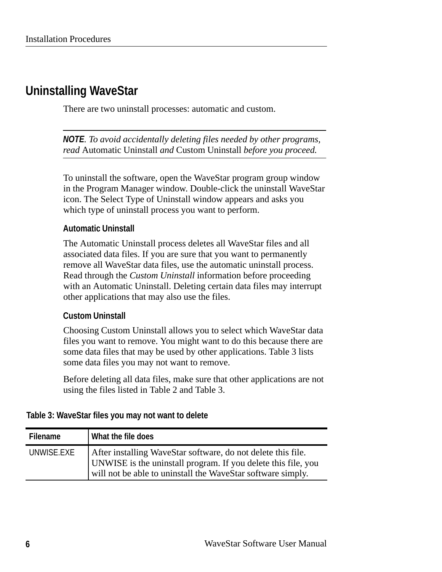## **Uninstalling WaveStar**

There are two uninstall processes: automatic and custom.

*NOTE. To avoid accidentally deleting files needed by other programs, read* Automatic Uninstall *and* Custom Uninstall *before you proceed.*

To uninstall the software, open the WaveStar program group window in the Program Manager window. Double-click the uninstall WaveStar icon. The Select Type of Uninstall window appears and asks you which type of uninstall process you want to perform.

#### **Automatic Uninstall**

The Automatic Uninstall process deletes all WaveStar files and all associated data files. If you are sure that you want to permanently remove all WaveStar data files, use the automatic uninstall process. Read through the *Custom Uninstall* information before proceeding with an Automatic Uninstall. Deleting certain data files may interrupt other applications that may also use the files.

#### **Custom Uninstall**

Choosing Custom Uninstall allows you to select which WaveStar data files you want to remove. You might want to do this because there are some data files that may be used by other applications. Table 3 lists some data files you may not want to remove.

Before deleting all data files, make sure that other applications are not using the files listed in Table 2 and Table 3.

#### **Table 3: WaveStar files you may not want to delete**

| <b>Filename</b> | What the file does                                                                                                                                                                           |
|-----------------|----------------------------------------------------------------------------------------------------------------------------------------------------------------------------------------------|
| UNWISE.EXE      | After installing WaveStar software, do not delete this file.<br>UNWISE is the uninstall program. If you delete this file, you<br>will not be able to uninstall the WaveStar software simply. |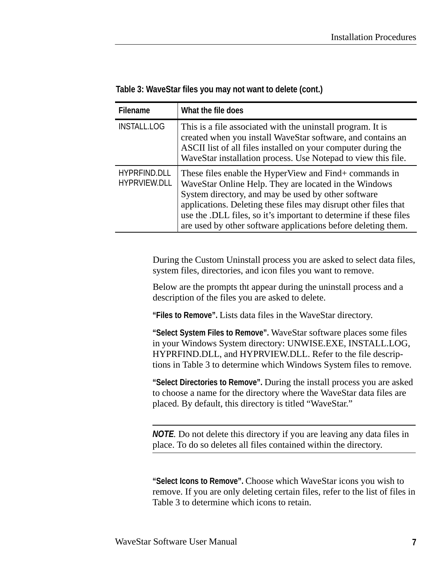| <b>Filename</b>                     | What the file does                                                                                                                                                                                                                                                                                                                                                              |
|-------------------------------------|---------------------------------------------------------------------------------------------------------------------------------------------------------------------------------------------------------------------------------------------------------------------------------------------------------------------------------------------------------------------------------|
| <b>INSTALL.LOG</b>                  | This is a file associated with the uninstall program. It is<br>created when you install WaveStar software, and contains an<br>ASCII list of all files installed on your computer during the<br>WaveStar installation process. Use Notepad to view this file.                                                                                                                    |
| <b>HYPRFIND.DLL</b><br>HYPRVIEW.DLL | These files enable the HyperView and Find+ commands in<br>WaveStar Online Help. They are located in the Windows<br>System directory, and may be used by other software<br>applications. Deleting these files may disrupt other files that<br>use the .DLL files, so it's important to determine if these files<br>are used by other software applications before deleting them. |

#### **Table 3: WaveStar files you may not want to delete (cont.)**

During the Custom Uninstall process you are asked to select data files, system files, directories, and icon files you want to remove.

Below are the prompts tht appear during the uninstall process and a description of the files you are asked to delete.

**"Files to Remove".** Lists data files in the WaveStar directory.

**"Select System Files to Remove".** WaveStar software places some files in your Windows System directory: UNWISE.EXE, INSTALL.LOG, HYPRFIND.DLL, and HYPRVIEW.DLL. Refer to the file descriptions in Table 3 to determine which Windows System files to remove.

**"Select Directories to Remove".** During the install process you are asked to choose a name for the directory where the WaveStar data files are placed. By default, this directory is titled "WaveStar."

*NOTE.* Do not delete this directory if you are leaving any data files in place. To do so deletes all files contained within the directory.

**"Select Icons to Remove".** Choose which WaveStar icons you wish to remove. If you are only deleting certain files, refer to the list of files in Table 3 to determine which icons to retain.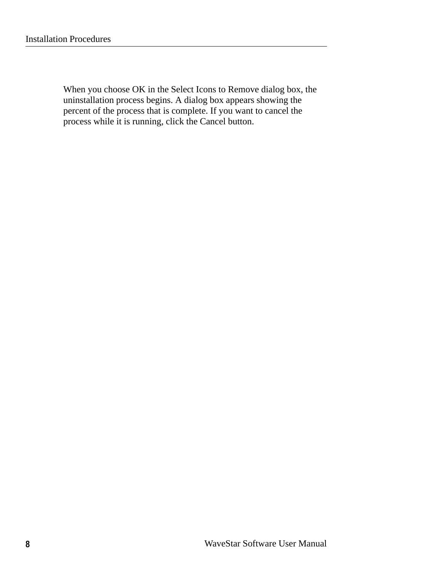When you choose OK in the Select Icons to Remove dialog box, the uninstallation process begins. A dialog box appears showing the percent of the process that is complete. If you want to cancel the process while it is running, click the Cancel button.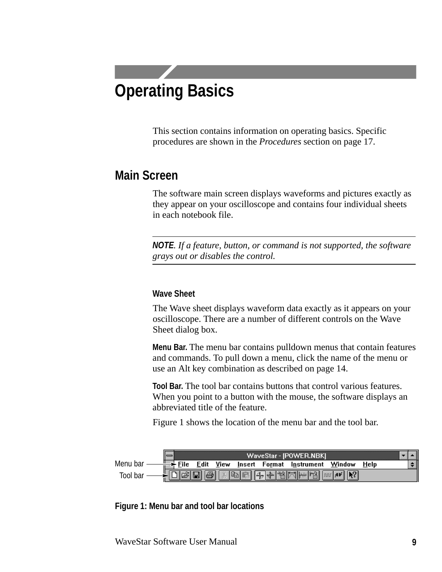# **Operating Basics**

This section contains information on operating basics. Specific procedures are shown in the *Procedures* section on page 17.

### **Main Screen**

The software main screen displays waveforms and pictures exactly as they appear on your oscilloscope and contains four individual sheets in each notebook file.

*NOTE. If a feature, button, or command is not supported, the software grays out or disables the control.*

#### **Wave Sheet**

The Wave sheet displays waveform data exactly as it appears on your oscilloscope. There are a number of different controls on the Wave Sheet dialog box.

**Menu Bar.** The menu bar contains pulldown menus that contain features and commands. To pull down a menu, click the name of the menu or use an Alt key combination as described on page 14.

**Tool Bar.** The tool bar contains buttons that control various features. When you point to a button with the mouse, the software displays an abbreviated title of the feature.

Figure 1 shows the location of the menu bar and the tool bar.



**Figure 1: Menu bar and tool bar locations**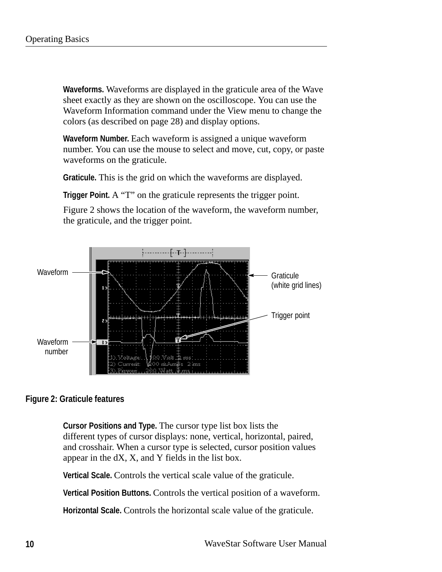**Waveforms.** Waveforms are displayed in the graticule area of the Wave sheet exactly as they are shown on the oscilloscope. You can use the Waveform Information command under the View menu to change the colors (as described on page 28) and display options.

**Waveform Number.** Each waveform is assigned a unique waveform number. You can use the mouse to select and move, cut, copy, or paste waveforms on the graticule.

**Graticule.** This is the grid on which the waveforms are displayed.

**Trigger Point.** A "T" on the graticule represents the trigger point.

Figure 2 shows the location of the waveform, the waveform number, the graticule, and the trigger point.



#### **Figure 2: Graticule features**

**Cursor Positions and Type.** The cursor type list box lists the different types of cursor displays: none, vertical, horizontal, paired, and crosshair. When a cursor type is selected, cursor position values appear in the dX, X, and Y fields in the list box.

**Vertical Scale.** Controls the vertical scale value of the graticule.

**Vertical Position Buttons.** Controls the vertical position of a waveform.

**Horizontal Scale.** Controls the horizontal scale value of the graticule.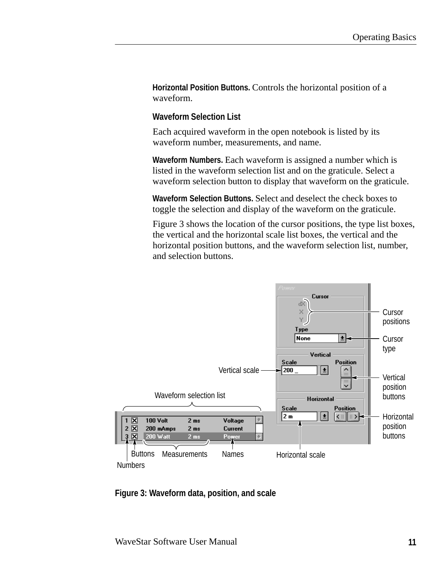**Horizontal Position Buttons.** Controls the horizontal position of a waveform.

#### **Waveform Selection List**

Each acquired waveform in the open notebook is listed by its waveform number, measurements, and name.

**Waveform Numbers.** Each waveform is assigned a number which is listed in the waveform selection list and on the graticule. Select a waveform selection button to display that waveform on the graticule.

**Waveform Selection Buttons.** Select and deselect the check boxes to toggle the selection and display of the waveform on the graticule.

Figure 3 shows the location of the cursor positions, the type list boxes, the vertical and the horizontal scale list boxes, the vertical and the horizontal position buttons, and the waveform selection list, number, and selection buttons.



**Figure 3: Waveform data, position, and scale**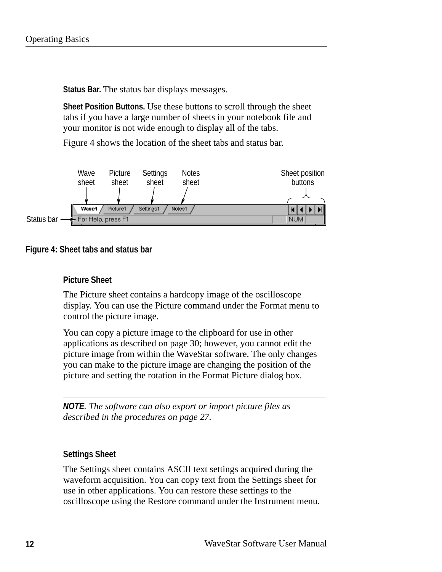**Status Bar.** The status bar displays messages.

**Sheet Position Buttons.** Use these buttons to scroll through the sheet tabs if you have a large number of sheets in your notebook file and your monitor is not wide enough to display all of the tabs.

Figure 4 shows the location of the sheet tabs and status bar.



#### **Figure 4: Sheet tabs and status bar**

#### **Picture Sheet**

The Picture sheet contains a hardcopy image of the oscilloscope display. You can use the Picture command under the Format menu to control the picture image.

You can copy a picture image to the clipboard for use in other applications as described on page 30; however, you cannot edit the picture image from within the WaveStar software. The only changes you can make to the picture image are changing the position of the picture and setting the rotation in the Format Picture dialog box.

*NOTE. The software can also export or import picture files as described in the procedures on page 27.*

#### **Settings Sheet**

The Settings sheet contains ASCII text settings acquired during the waveform acquisition. You can copy text from the Settings sheet for use in other applications. You can restore these settings to the oscilloscope using the Restore command under the Instrument menu.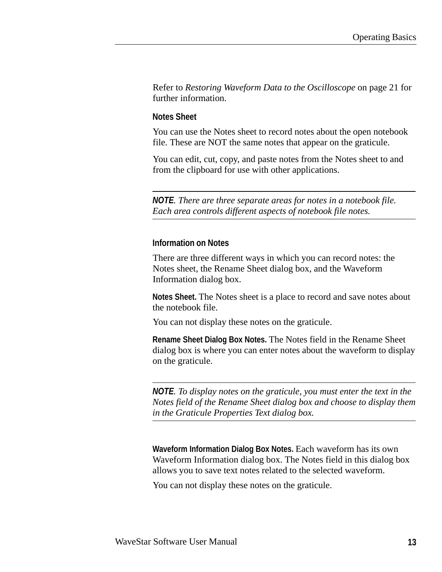Refer to *Restoring Waveform Data to the Oscilloscope* on page 21 for further information.

#### **Notes Sheet**

You can use the Notes sheet to record notes about the open notebook file. These are NOT the same notes that appear on the graticule.

You can edit, cut, copy, and paste notes from the Notes sheet to and from the clipboard for use with other applications.

*NOTE. There are three separate areas for notes in a notebook file. Each area controls different aspects of notebook file notes.*

#### **Information on Notes**

There are three different ways in which you can record notes: the Notes sheet, the Rename Sheet dialog box, and the Waveform Information dialog box.

**Notes Sheet.** The Notes sheet is a place to record and save notes about the notebook file.

You can not display these notes on the graticule.

**Rename Sheet Dialog Box Notes.** The Notes field in the Rename Sheet dialog box is where you can enter notes about the waveform to display on the graticule.

*NOTE. To display notes on the graticule, you must enter the text in the Notes field of the Rename Sheet dialog box and choose to display them in the Graticule Properties Text dialog box.*

**Waveform Information Dialog Box Notes.** Each waveform has its own Waveform Information dialog box. The Notes field in this dialog box allows you to save text notes related to the selected waveform.

You can not display these notes on the graticule.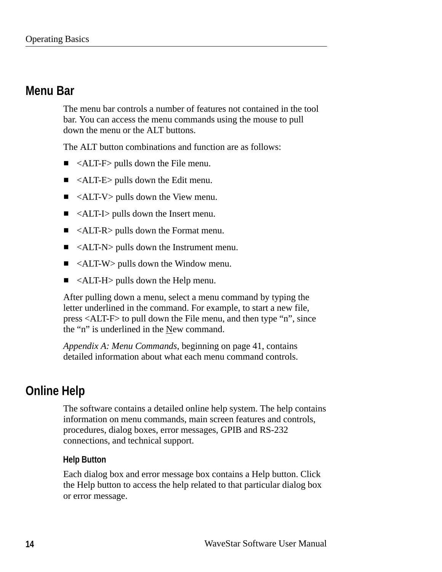## **Menu Bar**

The menu bar controls a number of features not contained in the tool bar. You can access the menu commands using the mouse to pull down the menu or the ALT buttons.

The ALT button combinations and function are as follows:

- ALT-F> pulls down the File menu.
- ALT-E> pulls down the Edit menu.
- $\blacksquare$  <ALT-V> pulls down the View menu.
- ALT-I> pulls down the Insert menu.
- <ALT-R> pulls down the Format menu.  $\blacksquare$
- <ALT-N> pulls down the Instrument menu.  $\blacksquare$
- ALT-W > pulls down the Window menu.
- $\blacksquare$  <ALT-H pulls down the Help menu.

After pulling down a menu, select a menu command by typing the letter underlined in the command. For example, to start a new file, press <ALT-F> to pull down the File menu, and then type "n", since the "n" is underlined in the New command.

*Appendix A: Menu Commands*, beginning on page 41, contains detailed information about what each menu command controls.

## **Online Help**

The software contains a detailed online help system. The help contains information on menu commands, main screen features and controls, procedures, dialog boxes, error messages, GPIB and RS-232 connections, and technical support.

#### **Help Button**

Each dialog box and error message box contains a Help button. Click the Help button to access the help related to that particular dialog box or error message.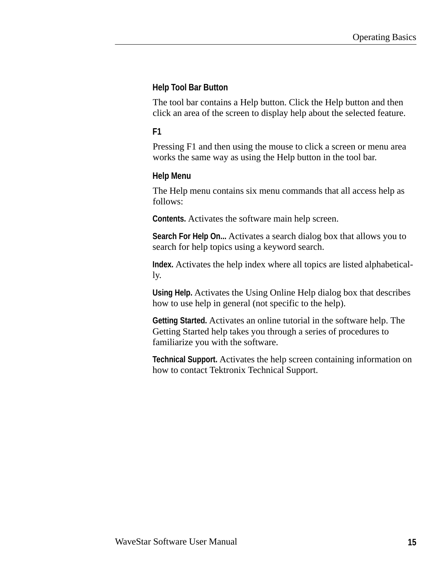#### **Help Tool Bar Button**

The tool bar contains a Help button. Click the Help button and then click an area of the screen to display help about the selected feature.

#### **F1**

Pressing F1 and then using the mouse to click a screen or menu area works the same way as using the Help button in the tool bar.

#### **Help Menu**

The Help menu contains six menu commands that all access help as follows:

**Contents.** Activates the software main help screen.

**Search For Help On...** Activates a search dialog box that allows you to search for help topics using a keyword search.

**Index.** Activates the help index where all topics are listed alphabetically.

**Using Help.** Activates the Using Online Help dialog box that describes how to use help in general (not specific to the help).

**Getting Started.** Activates an online tutorial in the software help. The Getting Started help takes you through a series of procedures to familiarize you with the software.

**Technical Support.** Activates the help screen containing information on how to contact Tektronix Technical Support.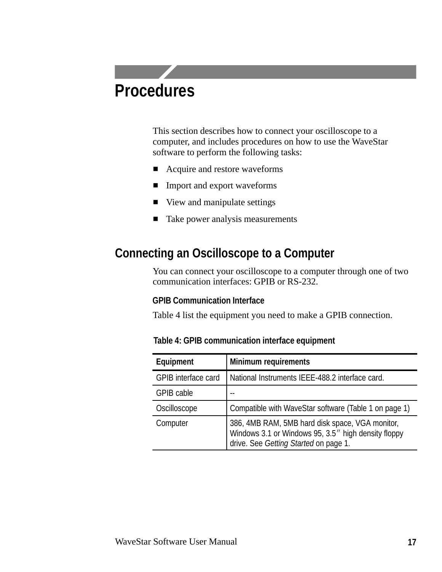# **Procedures**

This section describes how to connect your oscilloscope to a computer, and includes procedures on how to use the WaveStar software to perform the following tasks:

- Acquire and restore waveforms
- **Import and export waveforms**
- View and manipulate settings
- $\blacksquare$  Take power analysis measurements

## **Connecting an Oscilloscope to a Computer**

You can connect your oscilloscope to a computer through one of two communication interfaces: GPIB or RS-232.

#### **GPIB Communication Interface**

Table 4 list the equipment you need to make a GPIB connection.

| Equipment                  | <b>Minimum requirements</b>                                                                                                                     |
|----------------------------|-------------------------------------------------------------------------------------------------------------------------------------------------|
| <b>GPIB</b> interface card | National Instruments IEEE-488.2 interface card.                                                                                                 |
| <b>GPIB cable</b>          |                                                                                                                                                 |
| Oscilloscope               | Compatible with WaveStar software (Table 1 on page 1)                                                                                           |
| Computer                   | 386, 4MB RAM, 5MB hard disk space, VGA monitor,<br>Windows 3.1 or Windows 95, 3.5" high density floppy<br>drive. See Getting Started on page 1. |

**Table 4: GPIB communication interface equipment**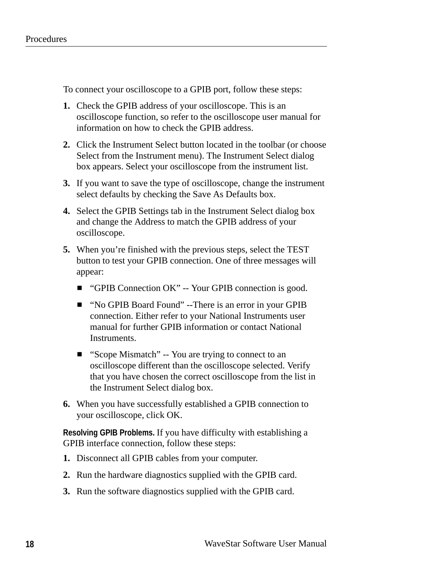To connect your oscilloscope to a GPIB port, follow these steps:

- **1.** Check the GPIB address of your oscilloscope. This is an oscilloscope function, so refer to the oscilloscope user manual for information on how to check the GPIB address.
- **2.** Click the Instrument Select button located in the toolbar (or choose Select from the Instrument menu). The Instrument Select dialog box appears. Select your oscilloscope from the instrument list.
- **3.** If you want to save the type of oscilloscope, change the instrument select defaults by checking the Save As Defaults box.
- **4.** Select the GPIB Settings tab in the Instrument Select dialog box and change the Address to match the GPIB address of your oscilloscope.
- **5.** When you're finished with the previous steps, select the TEST button to test your GPIB connection. One of three messages will appear:
	- "GPIB Connection OK" -- Your GPIB connection is good.
	- "No GPIB Board Found" --There is an error in your GPIB connection. Either refer to your National Instruments user manual for further GPIB information or contact National Instruments.
	- "Scope Mismatch" -- You are trying to connect to an oscilloscope different than the oscilloscope selected. Verify that you have chosen the correct oscilloscope from the list in the Instrument Select dialog box.
- **6.** When you have successfully established a GPIB connection to your oscilloscope, click OK.

**Resolving GPIB Problems.** If you have difficulty with establishing a GPIB interface connection, follow these steps:

- **1.** Disconnect all GPIB cables from your computer.
- **2.** Run the hardware diagnostics supplied with the GPIB card.
- **3.** Run the software diagnostics supplied with the GPIB card.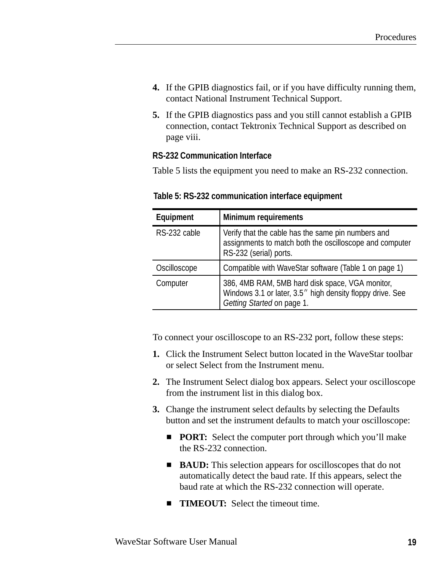- **4.** If the GPIB diagnostics fail, or if you have difficulty running them, contact National Instrument Technical Support.
- **5.** If the GPIB diagnostics pass and you still cannot establish a GPIB connection, contact Tektronix Technical Support as described on page viii.

#### **RS-232 Communication Interface**

Table 5 lists the equipment you need to make an RS-232 connection.

| Equipment    | <b>Minimum requirements</b>                                                                                                                |
|--------------|--------------------------------------------------------------------------------------------------------------------------------------------|
| RS-232 cable | Verify that the cable has the same pin numbers and<br>assignments to match both the oscilloscope and computer<br>RS-232 (serial) ports.    |
| Oscilloscope | Compatible with WaveStar software (Table 1 on page 1)                                                                                      |
| Computer     | 386, 4MB RAM, 5MB hard disk space, VGA monitor,<br>Windows 3.1 or later, 3.5" high density floppy drive. See<br>Getting Started on page 1. |

**Table 5: RS-232 communication interface equipment** 

To connect your oscilloscope to an RS-232 port, follow these steps:

- **1.** Click the Instrument Select button located in the WaveStar toolbar or select Select from the Instrument menu.
- **2.** The Instrument Select dialog box appears. Select your oscilloscope from the instrument list in this dialog box.
- **3.** Change the instrument select defaults by selecting the Defaults button and set the instrument defaults to match your oscilloscope:
	- **PORT:** Select the computer port through which you'll make the RS-232 connection.
	- **BAUD:** This selection appears for oscilloscopes that do not automatically detect the baud rate. If this appears, select the baud rate at which the RS-232 connection will operate.
	- **TIMEOUT:** Select the timeout time.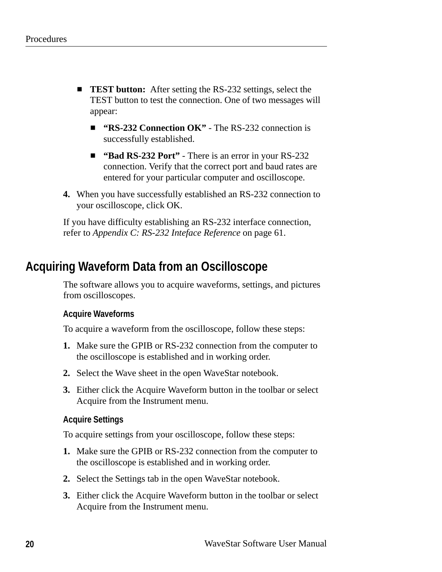- **TEST button:** After setting the RS-232 settings, select the TEST button to test the connection. One of two messages will appear:
	- **"RS-232 Connection OK"** The RS-232 connection is successfully established.
	- **"Bad RS-232 Port"** There is an error in your RS-232 connection. Verify that the correct port and baud rates are entered for your particular computer and oscilloscope.
- **4.** When you have successfully established an RS-232 connection to your oscilloscope, click OK.

If you have difficulty establishing an RS-232 interface connection, refer to *Appendix C: RS-232 Inteface Reference* on page 61.

## **Acquiring Waveform Data from an Oscilloscope**

The software allows you to acquire waveforms, settings, and pictures from oscilloscopes.

#### **Acquire Waveforms**

To acquire a waveform from the oscilloscope, follow these steps:

- **1.** Make sure the GPIB or RS-232 connection from the computer to the oscilloscope is established and in working order.
- **2.** Select the Wave sheet in the open WaveStar notebook.
- **3.** Either click the Acquire Waveform button in the toolbar or select Acquire from the Instrument menu.

#### **Acquire Settings**

To acquire settings from your oscilloscope, follow these steps:

- **1.** Make sure the GPIB or RS-232 connection from the computer to the oscilloscope is established and in working order.
- **2.** Select the Settings tab in the open WaveStar notebook.
- **3.** Either click the Acquire Waveform button in the toolbar or select Acquire from the Instrument menu.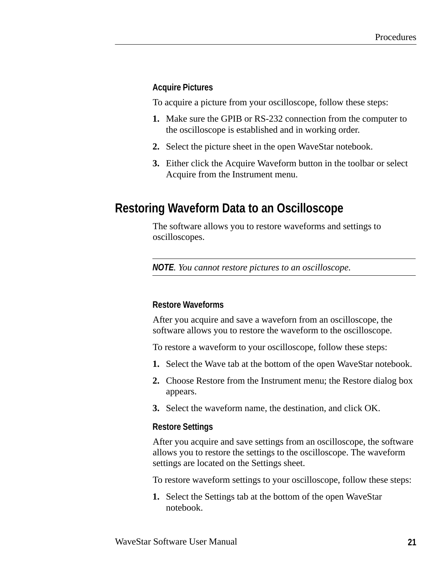#### **Acquire Pictures**

To acquire a picture from your oscilloscope, follow these steps:

- **1.** Make sure the GPIB or RS-232 connection from the computer to the oscilloscope is established and in working order.
- **2.** Select the picture sheet in the open WaveStar notebook.
- **3.** Either click the Acquire Waveform button in the toolbar or select Acquire from the Instrument menu.

### **Restoring Waveform Data to an Oscilloscope**

The software allows you to restore waveforms and settings to oscilloscopes.

*NOTE. You cannot restore pictures to an oscilloscope.*

#### **Restore Waveforms**

After you acquire and save a waveforn from an oscilloscope, the software allows you to restore the waveform to the oscilloscope.

To restore a waveform to your oscilloscope, follow these steps:

- **1.** Select the Wave tab at the bottom of the open WaveStar notebook.
- **2.** Choose Restore from the Instrument menu; the Restore dialog box appears.
- **3.** Select the waveform name, the destination, and click OK.

#### **Restore Settings**

After you acquire and save settings from an oscilloscope, the software allows you to restore the settings to the oscilloscope. The waveform settings are located on the Settings sheet.

To restore waveform settings to your oscilloscope, follow these steps:

**1.** Select the Settings tab at the bottom of the open WaveStar notebook.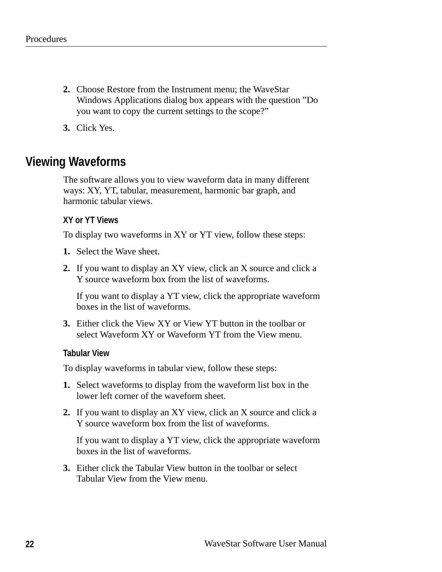- **2.** Choose Restore from the Instrument menu; the WaveStar Windows Applications dialog box appears with the question "Do you want to copy the current settings to the scope?"
- **3.** Click Yes.

### **Viewing Waveforms**

The software allows you to view waveform data in many different ways: XY, YT, tabular, measurement, harmonic bar graph, and harmonic tabular views.

#### **XY or YT Views**

To display two waveforms in XY or YT view, follow these steps:

- **1.** Select the Wave sheet.
- **2.** If you want to display an XY view, click an X source and click a Y source waveform box from the list of waveforms.

If you want to display a YT view, click the appropriate waveform boxes in the list of waveforms.

**3.** Either click the View XY or View YT button in the toolbar or select Waveform XY or Waveform YT from the View menu.

#### **Tabular View**

To display waveforms in tabular view, follow these steps:

- **1.** Select waveforms to display from the waveform list box in the lower left corner of the waveform sheet.
- **2.** If you want to display an XY view, click an X source and click a Y source waveform box from the list of waveforms.

If you want to display a YT view, click the appropriate waveform boxes in the list of waveforms.

**3.** Either click the Tabular View button in the toolbar or select Tabular View from the View menu.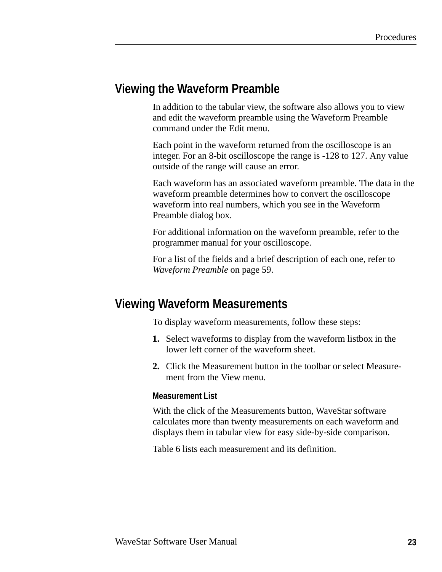### **Viewing the Waveform Preamble**

In addition to the tabular view, the software also allows you to view and edit the waveform preamble using the Waveform Preamble command under the Edit menu.

Each point in the waveform returned from the oscilloscope is an integer. For an 8-bit oscilloscope the range is -128 to 127. Any value outside of the range will cause an error.

Each waveform has an associated waveform preamble. The data in the waveform preamble determines how to convert the oscilloscope waveform into real numbers, which you see in the Waveform Preamble dialog box.

For additional information on the waveform preamble, refer to the programmer manual for your oscilloscope.

For a list of the fields and a brief description of each one, refer to *Waveform Preamble* on page 59.

## **Viewing Waveform Measurements**

To display waveform measurements, follow these steps:

- **1.** Select waveforms to display from the waveform listbox in the lower left corner of the waveform sheet.
- **2.** Click the Measurement button in the toolbar or select Measurement from the View menu.

#### **Measurement List**

With the click of the Measurements button, WaveStar software calculates more than twenty measurements on each waveform and displays them in tabular view for easy side-by-side comparison.

Table 6 lists each measurement and its definition.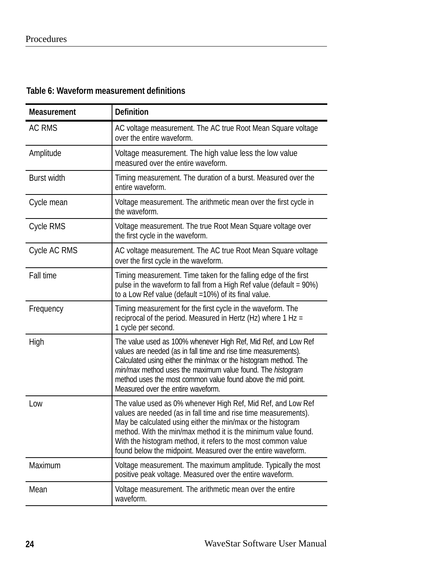### **Table 6: Waveform measurement definitions**

| <b>Measurement</b> | <b>Definition</b>                                                                                                                                                                                                                                                                                                                                                                                 |
|--------------------|---------------------------------------------------------------------------------------------------------------------------------------------------------------------------------------------------------------------------------------------------------------------------------------------------------------------------------------------------------------------------------------------------|
| <b>AC RMS</b>      | AC voltage measurement. The AC true Root Mean Square voltage<br>over the entire waveform.                                                                                                                                                                                                                                                                                                         |
| Amplitude          | Voltage measurement. The high value less the low value<br>measured over the entire waveform.                                                                                                                                                                                                                                                                                                      |
| <b>Burst width</b> | Timing measurement. The duration of a burst. Measured over the<br>entire waveform.                                                                                                                                                                                                                                                                                                                |
| Cycle mean         | Voltage measurement. The arithmetic mean over the first cycle in<br>the waveform.                                                                                                                                                                                                                                                                                                                 |
| <b>Cycle RMS</b>   | Voltage measurement. The true Root Mean Square voltage over<br>the first cycle in the waveform.                                                                                                                                                                                                                                                                                                   |
| Cycle AC RMS       | AC voltage measurement. The AC true Root Mean Square voltage<br>over the first cycle in the waveform.                                                                                                                                                                                                                                                                                             |
| Fall time          | Timing measurement. Time taken for the falling edge of the first<br>pulse in the waveform to fall from a High Ref value (default = 90%)<br>to a Low Ref value (default =10%) of its final value.                                                                                                                                                                                                  |
| Frequency          | Timing measurement for the first cycle in the waveform. The<br>reciprocal of the period. Measured in Hertz (Hz) where 1 Hz =<br>1 cycle per second.                                                                                                                                                                                                                                               |
| High               | The value used as 100% whenever High Ref, Mid Ref, and Low Ref<br>values are needed (as in fall time and rise time measurements).<br>Calculated using either the min/max or the histogram method. The<br>min/max method uses the maximum value found. The histogram<br>method uses the most common value found above the mid point.<br>Measured over the entire waveform.                         |
| Low                | The value used as 0% whenever High Ref, Mid Ref, and Low Ref<br>values are needed (as in fall time and rise time measurements).<br>May be calculated using either the min/max or the histogram<br>method. With the min/max method it is the minimum value found.<br>With the histogram method, it refers to the most common value<br>found below the midpoint. Measured over the entire waveform. |
| Maximum            | Voltage measurement. The maximum amplitude. Typically the most<br>positive peak voltage. Measured over the entire waveform.                                                                                                                                                                                                                                                                       |
| Mean               | Voltage measurement. The arithmetic mean over the entire<br>waveform.                                                                                                                                                                                                                                                                                                                             |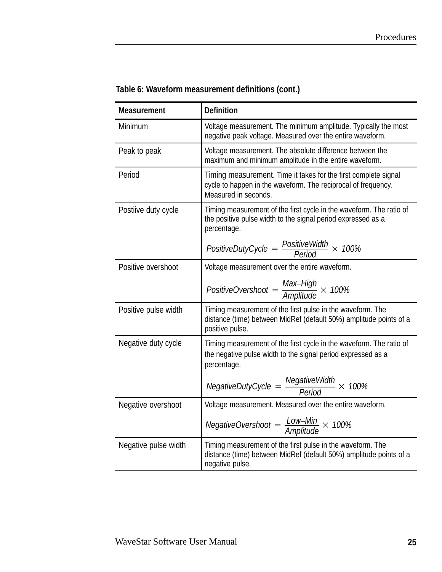| <b>Measurement</b>   | <b>Definition</b>                                                                                                                                        |  |  |
|----------------------|----------------------------------------------------------------------------------------------------------------------------------------------------------|--|--|
| Minimum              | Voltage measurement. The minimum amplitude. Typically the most<br>negative peak voltage. Measured over the entire waveform.                              |  |  |
| Peak to peak         | Voltage measurement. The absolute difference between the<br>maximum and minimum amplitude in the entire waveform.                                        |  |  |
| Period               | Timing measurement. Time it takes for the first complete signal<br>cycle to happen in the waveform. The reciprocal of frequency.<br>Measured in seconds. |  |  |
| Postiive duty cycle  | Timing measurement of the first cycle in the waveform. The ratio of<br>the positive pulse width to the signal period expressed as a<br>percentage.       |  |  |
|                      | PositiveDutyCycle = $\frac{PositiveWidth}{Period} \times 100\%$                                                                                          |  |  |
| Positive overshoot   | Voltage measurement over the entire waveform.                                                                                                            |  |  |
|                      | PositiveOvershoot = $\frac{Max-High}{Amplitude} \times 100\%$                                                                                            |  |  |
| Positive pulse width | Timing measurement of the first pulse in the waveform. The<br>distance (time) between MidRef (default 50%) amplitude points of a<br>positive pulse.      |  |  |
| Negative duty cycle  | Timing measurement of the first cycle in the waveform. The ratio of<br>the negative pulse width to the signal period expressed as a<br>percentage.       |  |  |
|                      | NegativeDutyCycle = $\frac{NegativeWidth}{Period} \times 100\%$                                                                                          |  |  |
| Negative overshoot   | Voltage measurement. Measured over the entire waveform.                                                                                                  |  |  |
|                      | NegativeOvershoot = $\frac{Low - Min}{Amplitude} \times 100\%$                                                                                           |  |  |
| Negative pulse width | Timing measurement of the first pulse in the waveform. The<br>distance (time) between MidRef (default 50%) amplitude points of a<br>negative pulse.      |  |  |

### **Table 6: Waveform measurement definitions (cont.)**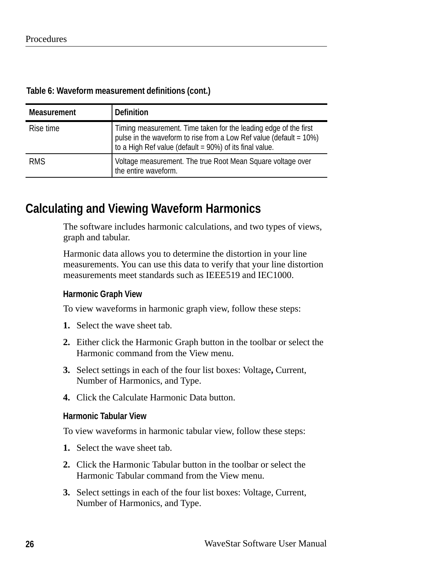| Table 6: Waveform measurement definitions (cont.) |  |  |  |
|---------------------------------------------------|--|--|--|
|---------------------------------------------------|--|--|--|

| <b>Measurement</b> | <b>Definition</b>                                                                                                                                                                                 |
|--------------------|---------------------------------------------------------------------------------------------------------------------------------------------------------------------------------------------------|
| Rise time          | Timing measurement. Time taken for the leading edge of the first<br>pulse in the waveform to rise from a Low Ref value (default = 10%)<br>to a High Ref value (default = 90%) of its final value. |
| <b>RMS</b>         | Voltage measurement. The true Root Mean Square voltage over<br>the entire waveform.                                                                                                               |

### **Calculating and Viewing Waveform Harmonics**

The software includes harmonic calculations, and two types of views, graph and tabular.

Harmonic data allows you to determine the distortion in your line measurements. You can use this data to verify that your line distortion measurements meet standards such as IEEE519 and IEC1000.

#### **Harmonic Graph View**

To view waveforms in harmonic graph view, follow these steps:

- **1.** Select the wave sheet tab.
- **2.** Either click the Harmonic Graph button in the toolbar or select the Harmonic command from the View menu.
- **3.** Select settings in each of the four list boxes: Voltage**,** Current, Number of Harmonics, and Type.
- **4.** Click the Calculate Harmonic Data button.

#### **Harmonic Tabular View**

To view waveforms in harmonic tabular view, follow these steps:

- **1.** Select the wave sheet tab.
- **2.** Click the Harmonic Tabular button in the toolbar or select the Harmonic Tabular command from the View menu.
- **3.** Select settings in each of the four list boxes: Voltage, Current, Number of Harmonics, and Type.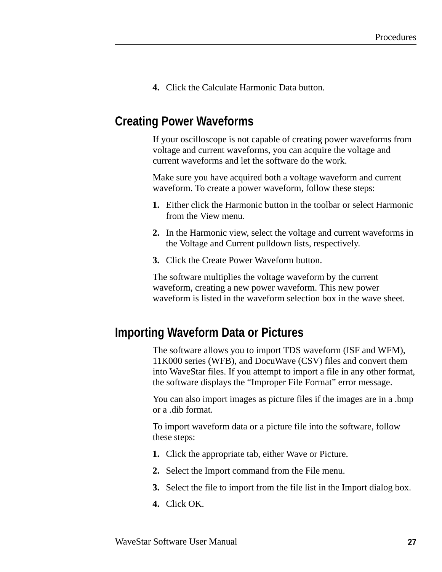**4.** Click the Calculate Harmonic Data button.

## **Creating Power Waveforms**

If your oscilloscope is not capable of creating power waveforms from voltage and current waveforms, you can acquire the voltage and current waveforms and let the software do the work.

Make sure you have acquired both a voltage waveform and current waveform. To create a power waveform, follow these steps:

- **1.** Either click the Harmonic button in the toolbar or select Harmonic from the View menu.
- **2.** In the Harmonic view, select the voltage and current waveforms in the Voltage and Current pulldown lists, respectively.
- **3.** Click the Create Power Waveform button.

The software multiplies the voltage waveform by the current waveform, creating a new power waveform. This new power waveform is listed in the waveform selection box in the wave sheet.

### **Importing Waveform Data or Pictures**

The software allows you to import TDS waveform (ISF and WFM), 11K000 series (WFB), and DocuWave (CSV) files and convert them into WaveStar files. If you attempt to import a file in any other format, the software displays the "Improper File Format" error message.

You can also import images as picture files if the images are in a .bmp or a .dib format.

To import waveform data or a picture file into the software, follow these steps:

- **1.** Click the appropriate tab, either Wave or Picture.
- **2.** Select the Import command from the File menu.
- **3.** Select the file to import from the file list in the Import dialog box.
- **4.** Click OK.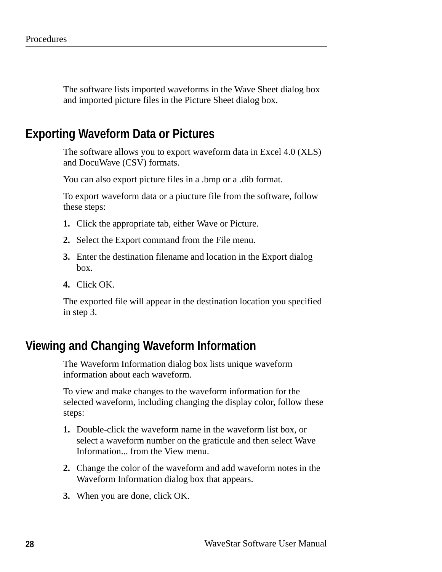The software lists imported waveforms in the Wave Sheet dialog box and imported picture files in the Picture Sheet dialog box.

### **Exporting Waveform Data or Pictures**

The software allows you to export waveform data in Excel 4.0 (XLS) and DocuWave (CSV) formats.

You can also export picture files in a .bmp or a .dib format.

To export waveform data or a piucture file from the software, follow these steps:

- **1.** Click the appropriate tab, either Wave or Picture.
- **2.** Select the Export command from the File menu.
- **3.** Enter the destination filename and location in the Export dialog box.
- **4.** Click OK.

The exported file will appear in the destination location you specified in step 3.

### **Viewing and Changing Waveform Information**

The Waveform Information dialog box lists unique waveform information about each waveform.

To view and make changes to the waveform information for the selected waveform, including changing the display color, follow these steps:

- **1.** Double-click the waveform name in the waveform list box, or select a waveform number on the graticule and then select Wave Information... from the View menu.
- **2.** Change the color of the waveform and add waveform notes in the Waveform Information dialog box that appears.
- **3.** When you are done, click OK.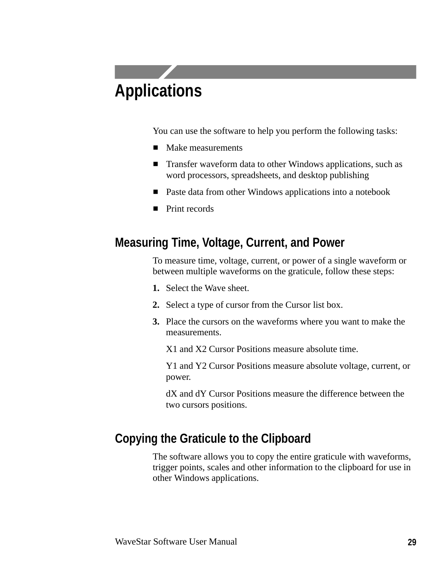# **Applications**

You can use the software to help you perform the following tasks:

- **Make measurements**
- **Transfer waveform data to other Windows applications, such as** word processors, spreadsheets, and desktop publishing
- **Paste data from other Windows applications into a notebook**
- Print records

# **Measuring Time, Voltage, Current, and Power**

To measure time, voltage, current, or power of a single waveform or between multiple waveforms on the graticule, follow these steps:

- **1.** Select the Wave sheet.
- **2.** Select a type of cursor from the Cursor list box.
- **3.** Place the cursors on the waveforms where you want to make the measurements.

X1 and X2 Cursor Positions measure absolute time.

Y1 and Y2 Cursor Positions measure absolute voltage, current, or power.

dX and dY Cursor Positions measure the difference between the two cursors positions.

# **Copying the Graticule to the Clipboard**

The software allows you to copy the entire graticule with waveforms, trigger points, scales and other information to the clipboard for use in other Windows applications.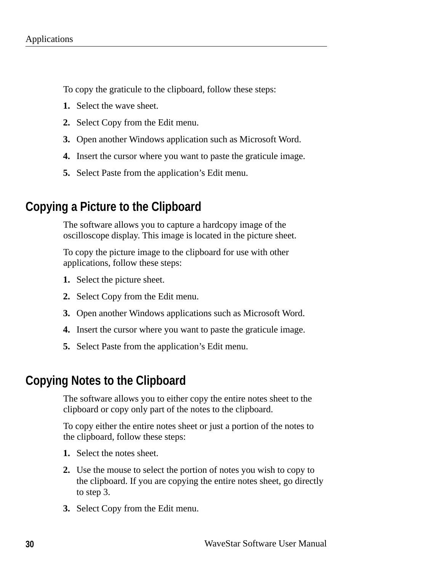To copy the graticule to the clipboard, follow these steps:

- **1.** Select the wave sheet.
- **2.** Select Copy from the Edit menu.
- **3.** Open another Windows application such as Microsoft Word.
- **4.** Insert the cursor where you want to paste the graticule image.
- **5.** Select Paste from the application's Edit menu.

# **Copying a Picture to the Clipboard**

The software allows you to capture a hardcopy image of the oscilloscope display. This image is located in the picture sheet.

To copy the picture image to the clipboard for use with other applications, follow these steps:

- **1.** Select the picture sheet.
- **2.** Select Copy from the Edit menu.
- **3.** Open another Windows applications such as Microsoft Word.
- **4.** Insert the cursor where you want to paste the graticule image.
- **5.** Select Paste from the application's Edit menu.

## **Copying Notes to the Clipboard**

The software allows you to either copy the entire notes sheet to the clipboard or copy only part of the notes to the clipboard.

To copy either the entire notes sheet or just a portion of the notes to the clipboard, follow these steps:

- **1.** Select the notes sheet.
- **2.** Use the mouse to select the portion of notes you wish to copy to the clipboard. If you are copying the entire notes sheet, go directly to step 3.
- **3.** Select Copy from the Edit menu.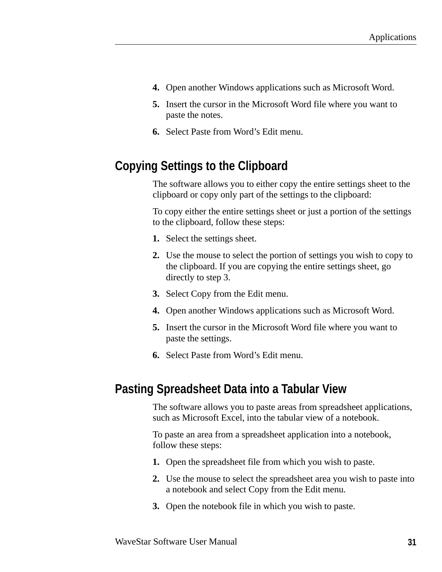- **4.** Open another Windows applications such as Microsoft Word.
- **5.** Insert the cursor in the Microsoft Word file where you want to paste the notes.
- **6.** Select Paste from Word's Edit menu.

# **Copying Settings to the Clipboard**

The software allows you to either copy the entire settings sheet to the clipboard or copy only part of the settings to the clipboard:

To copy either the entire settings sheet or just a portion of the settings to the clipboard, follow these steps:

- **1.** Select the settings sheet.
- **2.** Use the mouse to select the portion of settings you wish to copy to the clipboard. If you are copying the entire settings sheet, go directly to step 3.
- **3.** Select Copy from the Edit menu.
- **4.** Open another Windows applications such as Microsoft Word.
- **5.** Insert the cursor in the Microsoft Word file where you want to paste the settings.
- **6.** Select Paste from Word's Edit menu.

## **Pasting Spreadsheet Data into a Tabular View**

The software allows you to paste areas from spreadsheet applications, such as Microsoft Excel, into the tabular view of a notebook.

To paste an area from a spreadsheet application into a notebook, follow these steps:

- **1.** Open the spreadsheet file from which you wish to paste.
- **2.** Use the mouse to select the spreadsheet area you wish to paste into a notebook and select Copy from the Edit menu.
- **3.** Open the notebook file in which you wish to paste.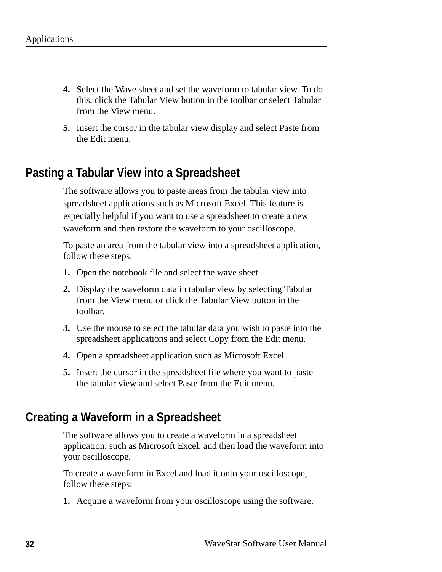- **4.** Select the Wave sheet and set the waveform to tabular view. To do this, click the Tabular View button in the toolbar or select Tabular from the View menu.
- **5.** Insert the cursor in the tabular view display and select Paste from the Edit menu.

# **Pasting a Tabular View into a Spreadsheet**

The software allows you to paste areas from the tabular view into spreadsheet applications such as Microsoft Excel. This feature is especially helpful if you want to use a spreadsheet to create a new waveform and then restore the waveform to your oscilloscope.

To paste an area from the tabular view into a spreadsheet application, follow these steps:

- **1.** Open the notebook file and select the wave sheet.
- **2.** Display the waveform data in tabular view by selecting Tabular from the View menu or click the Tabular View button in the toolbar.
- **3.** Use the mouse to select the tabular data you wish to paste into the spreadsheet applications and select Copy from the Edit menu.
- **4.** Open a spreadsheet application such as Microsoft Excel.
- **5.** Insert the cursor in the spreadsheet file where you want to paste the tabular view and select Paste from the Edit menu.

# **Creating a Waveform in a Spreadsheet**

The software allows you to create a waveform in a spreadsheet application, such as Microsoft Excel, and then load the waveform into your oscilloscope.

To create a waveform in Excel and load it onto your oscilloscope, follow these steps:

**1.** Acquire a waveform from your oscilloscope using the software.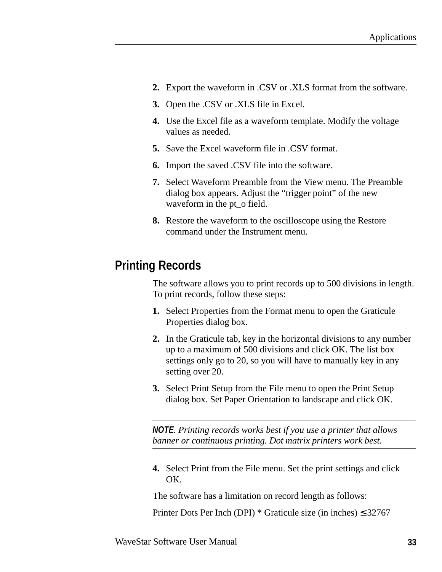- **2.** Export the waveform in .CSV or .XLS format from the software.
- **3.** Open the .CSV or .XLS file in Excel.
- **4.** Use the Excel file as a waveform template. Modify the voltage values as needed.
- **5.** Save the Excel waveform file in .CSV format.
- **6.** Import the saved .CSV file into the software.
- **7.** Select Waveform Preamble from the View menu. The Preamble dialog box appears. Adjust the "trigger point" of the new waveform in the pt\_o field.
- **8.** Restore the waveform to the oscilloscope using the Restore command under the Instrument menu.

# **Printing Records**

The software allows you to print records up to 500 divisions in length. To print records, follow these steps:

- **1.** Select Properties from the Format menu to open the Graticule Properties dialog box.
- **2.** In the Graticule tab, key in the horizontal divisions to any number up to a maximum of 500 divisions and click OK. The list box settings only go to 20, so you will have to manually key in any setting over 20.
- **3.** Select Print Setup from the File menu to open the Print Setup dialog box. Set Paper Orientation to landscape and click OK.

*NOTE. Printing records works best if you use a printer that allows banner or continuous printing. Dot matrix printers work best.*

**4.** Select Print from the File menu. Set the print settings and click OK.

The software has a limitation on record length as follows:

Printer Dots Per Inch (DPI)  $*$  Graticule size (in inches)  $\leq$  32767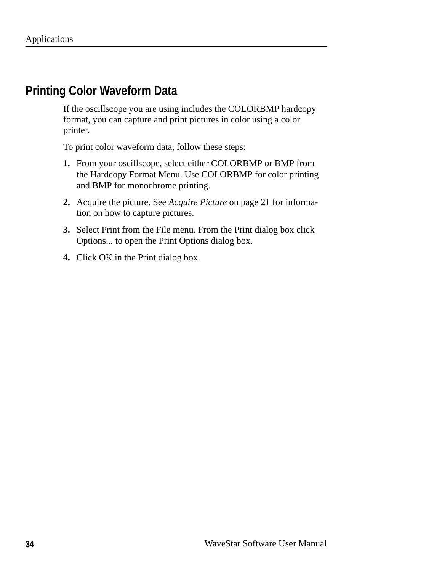# **Printing Color Waveform Data**

If the oscillscope you are using includes the COLORBMP hardcopy format, you can capture and print pictures in color using a color printer.

To print color waveform data, follow these steps:

- **1.** From your oscillscope, select either COLORBMP or BMP from the Hardcopy Format Menu. Use COLORBMP for color printing and BMP for monochrome printing.
- **2.** Acquire the picture. See *Acquire Picture* on page 21 for information on how to capture pictures.
- **3.** Select Print from the File menu. From the Print dialog box click Options... to open the Print Options dialog box.
- **4.** Click OK in the Print dialog box.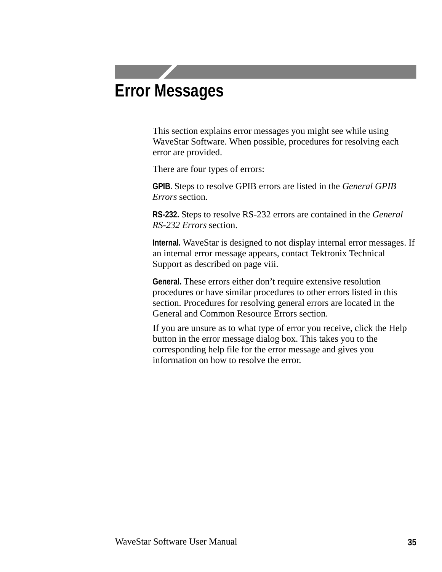# **Error Messages**

This section explains error messages you might see while using WaveStar Software. When possible, procedures for resolving each error are provided.

There are four types of errors:

**GPIB.** Steps to resolve GPIB errors are listed in the *General GPIB Errors* section.

**RS-232.** Steps to resolve RS-232 errors are contained in the *General RS-232 Errors* section.

**Internal.** WaveStar is designed to not display internal error messages. If an internal error message appears, contact Tektronix Technical Support as described on page viii.

**General.** These errors either don't require extensive resolution procedures or have similar procedures to other errors listed in this section. Procedures for resolving general errors are located in the General and Common Resource Errors section.

If you are unsure as to what type of error you receive, click the Help button in the error message dialog box. This takes you to the corresponding help file for the error message and gives you information on how to resolve the error.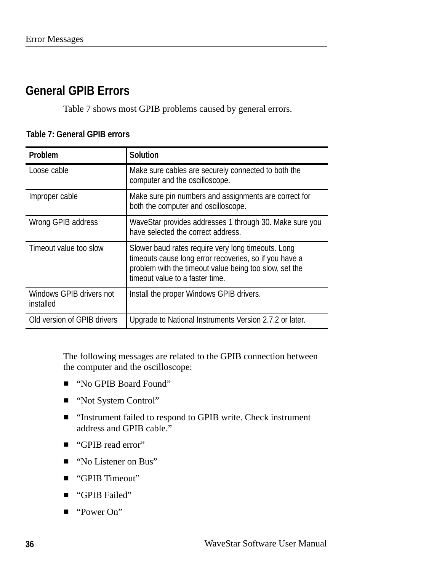# **General GPIB Errors**

Table 7 shows most GPIB problems caused by general errors.

| <b>Problem</b>                        | <b>Solution</b>                                                                                                                                                                                           |
|---------------------------------------|-----------------------------------------------------------------------------------------------------------------------------------------------------------------------------------------------------------|
| Loose cable                           | Make sure cables are securely connected to both the<br>computer and the oscilloscope.                                                                                                                     |
| Improper cable                        | Make sure pin numbers and assignments are correct for<br>both the computer and oscilloscope.                                                                                                              |
| Wrong GPIB address                    | WaveStar provides addresses 1 through 30. Make sure you<br>have selected the correct address.                                                                                                             |
| Timeout value too slow                | Slower baud rates require very long timeouts. Long<br>timeouts cause long error recoveries, so if you have a<br>problem with the timeout value being too slow, set the<br>timeout value to a faster time. |
| Windows GPIB drivers not<br>installed | Install the proper Windows GPIB drivers.                                                                                                                                                                  |
| Old version of GPIB drivers           | Upgrade to National Instruments Version 2.7.2 or later.                                                                                                                                                   |

#### **Table 7: General GPIB errors**

The following messages are related to the GPIB connection between the computer and the oscilloscope:

- "No GPIB Board Found"
- "Not System Control"
- "Instrument failed to respond to GPIB write. Check instrument address and GPIB cable."
- "GPIB read error"
- "No Listener on Bus"
- "GPIB Timeout"
- **GPIB** Failed"
- "Power On"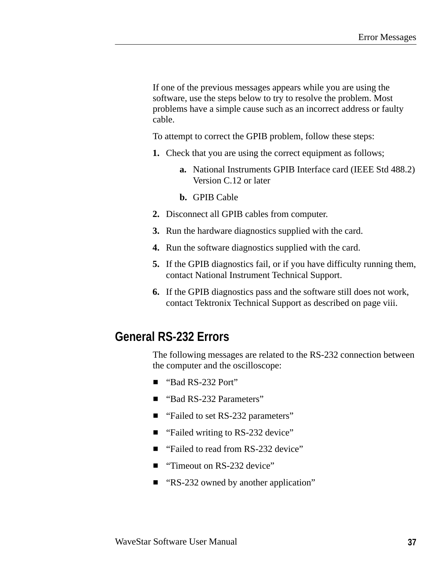If one of the previous messages appears while you are using the software, use the steps below to try to resolve the problem. Most problems have a simple cause such as an incorrect address or faulty cable.

To attempt to correct the GPIB problem, follow these steps:

- **1.** Check that you are using the correct equipment as follows;
	- **a.** National Instruments GPIB Interface card (IEEE Std 488.2) Version C.12 or later
	- **b.** GPIB Cable
- **2.** Disconnect all GPIB cables from computer.
- **3.** Run the hardware diagnostics supplied with the card.
- **4.** Run the software diagnostics supplied with the card.
- **5.** If the GPIB diagnostics fail, or if you have difficulty running them, contact National Instrument Technical Support.
- **6.** If the GPIB diagnostics pass and the software still does not work, contact Tektronix Technical Support as described on page viii.

## **General RS-232 Errors**

The following messages are related to the RS-232 connection between the computer and the oscilloscope:

- "Bad RS-232 Port"
- "Bad RS-232 Parameters"
- "Failed to set RS-232 parameters"
- "Failed writing to RS-232 device"
- "Failed to read from RS-232 device"
- "Timeout on RS-232 device"
- "RS-232 owned by another application"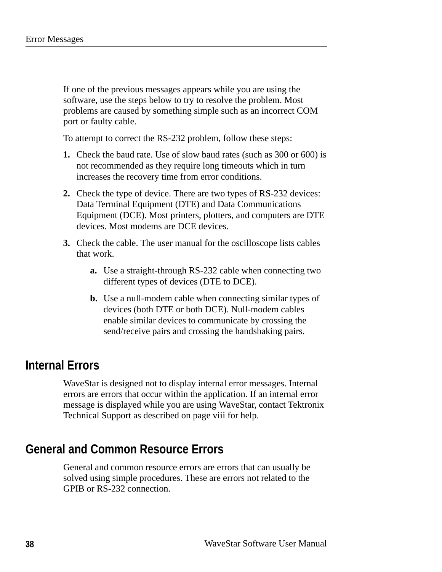If one of the previous messages appears while you are using the software, use the steps below to try to resolve the problem. Most problems are caused by something simple such as an incorrect COM port or faulty cable.

To attempt to correct the RS-232 problem, follow these steps:

- **1.** Check the baud rate. Use of slow baud rates (such as 300 or 600) is not recommended as they require long timeouts which in turn increases the recovery time from error conditions.
- **2.** Check the type of device. There are two types of RS-232 devices: Data Terminal Equipment (DTE) and Data Communications Equipment (DCE). Most printers, plotters, and computers are DTE devices. Most modems are DCE devices.
- **3.** Check the cable. The user manual for the oscilloscope lists cables that work.
	- **a.** Use a straight-through RS-232 cable when connecting two different types of devices (DTE to DCE).
	- **b.** Use a null-modem cable when connecting similar types of devices (both DTE or both DCE). Null-modem cables enable similar devices to communicate by crossing the send/receive pairs and crossing the handshaking pairs.

# **Internal Errors**

WaveStar is designed not to display internal error messages. Internal errors are errors that occur within the application. If an internal error message is displayed while you are using WaveStar, contact Tektronix Technical Support as described on page viii for help.

# **General and Common Resource Errors**

General and common resource errors are errors that can usually be solved using simple procedures. These are errors not related to the GPIB or RS-232 connection.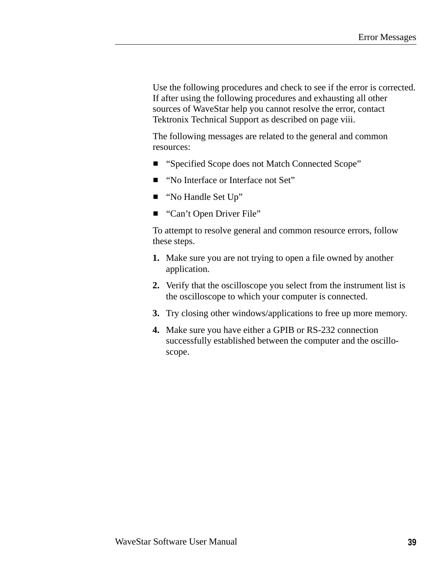Use the following procedures and check to see if the error is corrected. If after using the following procedures and exhausting all other sources of WaveStar help you cannot resolve the error, contact Tektronix Technical Support as described on page viii.

The following messages are related to the general and common resources:

- "Specified Scope does not Match Connected Scope"
- "No Interface or Interface not Set"
- "No Handle Set Up"
- "Can't Open Driver File"

To attempt to resolve general and common resource errors, follow these steps.

- **1.** Make sure you are not trying to open a file owned by another application.
- **2.** Verify that the oscilloscope you select from the instrument list is the oscilloscope to which your computer is connected.
- **3.** Try closing other windows/applications to free up more memory.
- **4.** Make sure you have either a GPIB or RS-232 connection successfully established between the computer and the oscilloscope.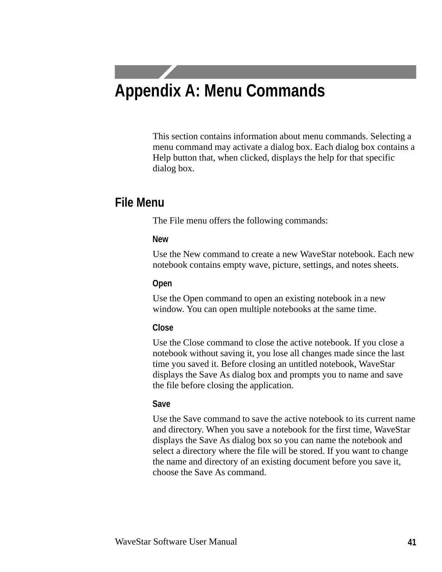# **Appendix A: Menu Commands**

This section contains information about menu commands. Selecting a menu command may activate a dialog box. Each dialog box contains a Help button that, when clicked, displays the help for that specific dialog box.

### **File Menu**

The File menu offers the following commands:

#### **New**

Use the New command to create a new WaveStar notebook. Each new notebook contains empty wave, picture, settings, and notes sheets.

#### **Open**

Use the Open command to open an existing notebook in a new window. You can open multiple notebooks at the same time.

#### **Close**

Use the Close command to close the active notebook. If you close a notebook without saving it, you lose all changes made since the last time you saved it. Before closing an untitled notebook, WaveStar displays the Save As dialog box and prompts you to name and save the file before closing the application.

#### **Save**

Use the Save command to save the active notebook to its current name and directory. When you save a notebook for the first time, WaveStar displays the Save As dialog box so you can name the notebook and select a directory where the file will be stored. If you want to change the name and directory of an existing document before you save it, choose the Save As command.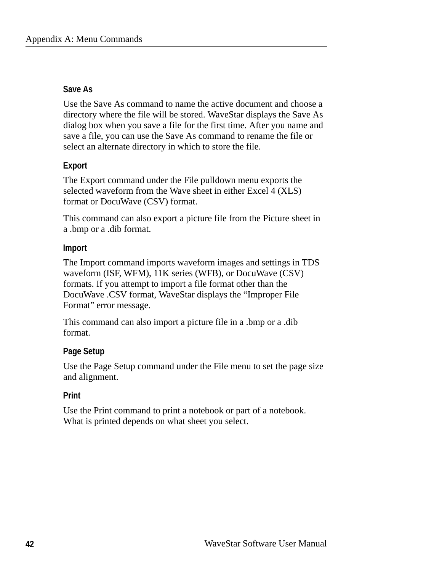#### **Save As**

Use the Save As command to name the active document and choose a directory where the file will be stored. WaveStar displays the Save As dialog box when you save a file for the first time. After you name and save a file, you can use the Save As command to rename the file or select an alternate directory in which to store the file.

#### **Export**

The Export command under the File pulldown menu exports the selected waveform from the Wave sheet in either Excel 4 (XLS) format or DocuWave (CSV) format.

This command can also export a picture file from the Picture sheet in a .bmp or a .dib format.

#### **Import**

The Import command imports waveform images and settings in TDS waveform (ISF, WFM), 11K series (WFB), or DocuWave (CSV) formats. If you attempt to import a file format other than the DocuWave .CSV format, WaveStar displays the "Improper File Format" error message.

This command can also import a picture file in a .bmp or a .dib format.

#### **Page Setup**

Use the Page Setup command under the File menu to set the page size and alignment.

#### **Print**

Use the Print command to print a notebook or part of a notebook. What is printed depends on what sheet you select.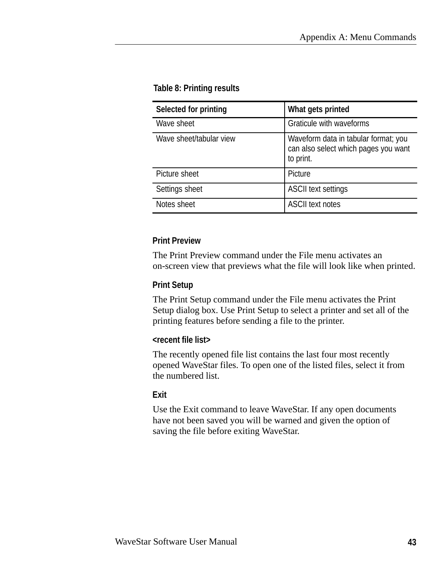#### **Table 8: Printing results**

| Selected for printing   | What gets printed                                                                         |
|-------------------------|-------------------------------------------------------------------------------------------|
| Wave sheet              | Graticule with waveforms                                                                  |
| Wave sheet/tabular view | Waveform data in tabular format; you<br>can also select which pages you want<br>to print. |
| Picture sheet           | Picture                                                                                   |
| Settings sheet          | <b>ASCII text settings</b>                                                                |
| Notes sheet             | <b>ASCII text notes</b>                                                                   |

#### **Print Preview**

The Print Preview command under the File menu activates an on-screen view that previews what the file will look like when printed.

#### **Print Setup**

The Print Setup command under the File menu activates the Print Setup dialog box. Use Print Setup to select a printer and set all of the printing features before sending a file to the printer.

#### **<recent file list>**

The recently opened file list contains the last four most recently opened WaveStar files. To open one of the listed files, select it from the numbered list.

#### **Exit**

Use the Exit command to leave WaveStar. If any open documents have not been saved you will be warned and given the option of saving the file before exiting WaveStar.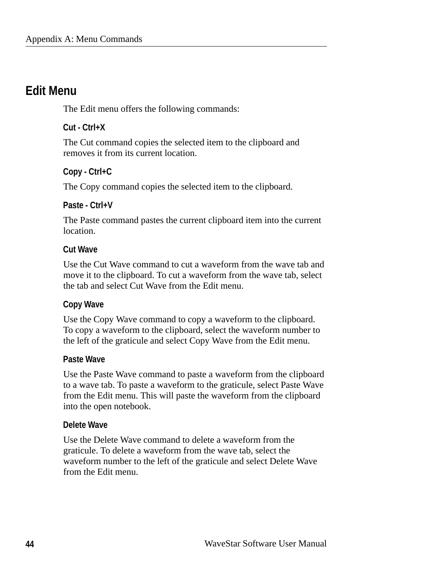### **Edit Menu**

The Edit menu offers the following commands:

#### **Cut - Ctrl+X**

The Cut command copies the selected item to the clipboard and removes it from its current location.

#### **Copy - Ctrl+C**

The Copy command copies the selected item to the clipboard.

#### **Paste - Ctrl+V**

The Paste command pastes the current clipboard item into the current location.

#### **Cut Wave**

Use the Cut Wave command to cut a waveform from the wave tab and move it to the clipboard. To cut a waveform from the wave tab, select the tab and select Cut Wave from the Edit menu.

#### **Copy Wave**

Use the Copy Wave command to copy a waveform to the clipboard. To copy a waveform to the clipboard, select the waveform number to the left of the graticule and select Copy Wave from the Edit menu.

#### **Paste Wave**

Use the Paste Wave command to paste a waveform from the clipboard to a wave tab. To paste a waveform to the graticule, select Paste Wave from the Edit menu. This will paste the waveform from the clipboard into the open notebook.

#### **Delete Wave**

Use the Delete Wave command to delete a waveform from the graticule. To delete a waveform from the wave tab, select the waveform number to the left of the graticule and select Delete Wave from the Edit menu.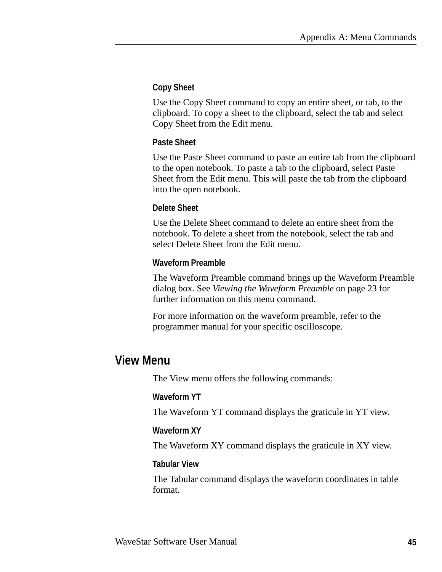#### **Copy Sheet**

Use the Copy Sheet command to copy an entire sheet, or tab, to the clipboard. To copy a sheet to the clipboard, select the tab and select Copy Sheet from the Edit menu.

#### **Paste Sheet**

Use the Paste Sheet command to paste an entire tab from the clipboard to the open notebook. To paste a tab to the clipboard, select Paste Sheet from the Edit menu. This will paste the tab from the clipboard into the open notebook.

#### **Delete Sheet**

Use the Delete Sheet command to delete an entire sheet from the notebook. To delete a sheet from the notebook, select the tab and select Delete Sheet from the Edit menu.

#### **Waveform Preamble**

The Waveform Preamble command brings up the Waveform Preamble dialog box. See *Viewing the Waveform Preamble* on page 23 for further information on this menu command.

For more information on the waveform preamble, refer to the programmer manual for your specific oscilloscope.

## **View Menu**

The View menu offers the following commands:

#### **Waveform YT**

The Waveform YT command displays the graticule in YT view.

#### **Waveform XY**

The Waveform XY command displays the graticule in XY view.

#### **Tabular View**

The Tabular command displays the waveform coordinates in table format.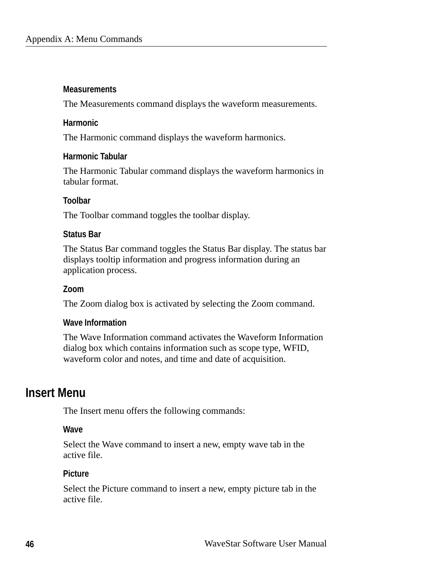#### **Measurements**

The Measurements command displays the waveform measurements.

#### **Harmonic**

The Harmonic command displays the waveform harmonics.

#### **Harmonic Tabular**

The Harmonic Tabular command displays the waveform harmonics in tabular format.

#### **Toolbar**

The Toolbar command toggles the toolbar display.

#### **Status Bar**

The Status Bar command toggles the Status Bar display. The status bar displays tooltip information and progress information during an application process.

#### **Zoom**

The Zoom dialog box is activated by selecting the Zoom command.

#### **Wave Information**

The Wave Information command activates the Waveform Information dialog box which contains information such as scope type, WFID, waveform color and notes, and time and date of acquisition.

### **Insert Menu**

The Insert menu offers the following commands:

#### **Wave**

Select the Wave command to insert a new, empty wave tab in the active file.

#### **Picture**

Select the Picture command to insert a new, empty picture tab in the active file.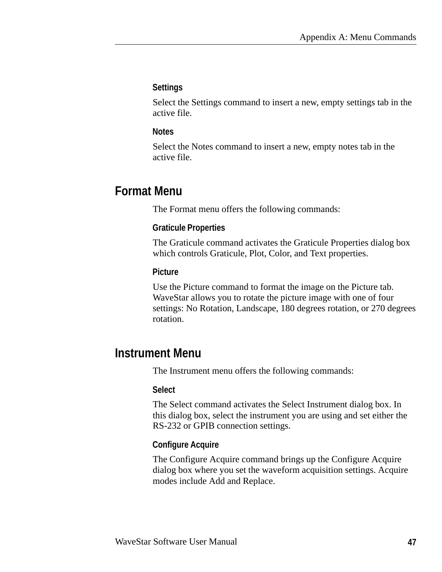#### **Settings**

Select the Settings command to insert a new, empty settings tab in the active file.

#### **Notes**

Select the Notes command to insert a new, empty notes tab in the active file.

# **Format Menu**

The Format menu offers the following commands:

#### **Graticule Properties**

The Graticule command activates the Graticule Properties dialog box which controls Graticule, Plot, Color, and Text properties.

#### **Picture**

Use the Picture command to format the image on the Picture tab. WaveStar allows you to rotate the picture image with one of four settings: No Rotation, Landscape, 180 degrees rotation, or 270 degrees rotation.

## **Instrument Menu**

The Instrument menu offers the following commands:

#### **Select**

The Select command activates the Select Instrument dialog box. In this dialog box, select the instrument you are using and set either the RS-232 or GPIB connection settings.

#### **Configure Acquire**

The Configure Acquire command brings up the Configure Acquire dialog box where you set the waveform acquisition settings. Acquire modes include Add and Replace.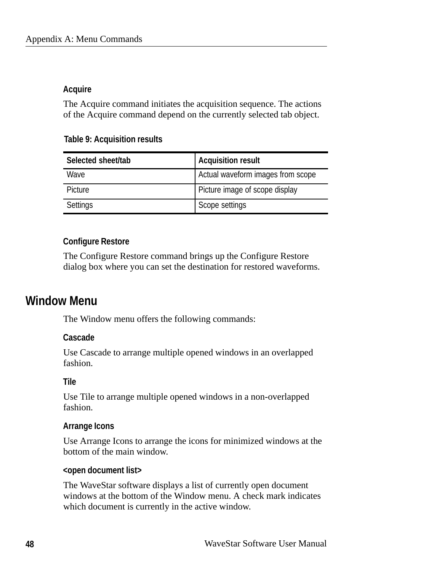#### **Acquire**

The Acquire command initiates the acquisition sequence. The actions of the Acquire command depend on the currently selected tab object.

#### **Table 9: Acquisition results**

| Selected sheet/tab | <b>Acquisition result</b>         |
|--------------------|-----------------------------------|
| Wave               | Actual waveform images from scope |
| Picture            | Picture image of scope display    |
| Settings           | Scope settings                    |

#### **Configure Restore**

The Configure Restore command brings up the Configure Restore dialog box where you can set the destination for restored waveforms.

### **Window Menu**

The Window menu offers the following commands:

#### **Cascade**

Use Cascade to arrange multiple opened windows in an overlapped fashion.

#### **Tile**

Use Tile to arrange multiple opened windows in a non-overlapped fashion.

#### **Arrange Icons**

Use Arrange Icons to arrange the icons for minimized windows at the bottom of the main window.

#### **<open document list>**

The WaveStar software displays a list of currently open document windows at the bottom of the Window menu. A check mark indicates which document is currently in the active window.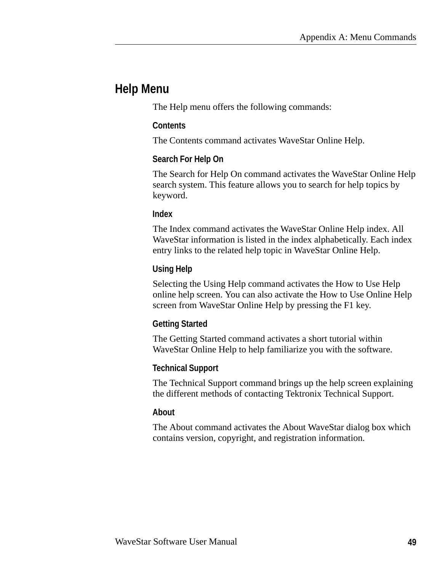## **Help Menu**

The Help menu offers the following commands:

#### **Contents**

The Contents command activates WaveStar Online Help.

#### **Search For Help On**

The Search for Help On command activates the WaveStar Online Help search system. This feature allows you to search for help topics by keyword.

#### **Index**

The Index command activates the WaveStar Online Help index. All WaveStar information is listed in the index alphabetically. Each index entry links to the related help topic in WaveStar Online Help.

#### **Using Help**

Selecting the Using Help command activates the How to Use Help online help screen. You can also activate the How to Use Online Help screen from WaveStar Online Help by pressing the F1 key.

#### **Getting Started**

The Getting Started command activates a short tutorial within WaveStar Online Help to help familiarize you with the software.

#### **Technical Support**

The Technical Support command brings up the help screen explaining the different methods of contacting Tektronix Technical Support.

#### **About**

The About command activates the About WaveStar dialog box which contains version, copyright, and registration information.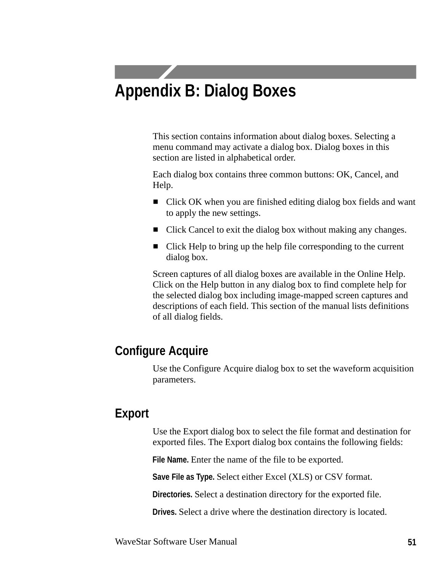# **Appendix B: Dialog Boxes**

This section contains information about dialog boxes. Selecting a menu command may activate a dialog box. Dialog boxes in this section are listed in alphabetical order.

Each dialog box contains three common buttons: OK, Cancel, and Help.

- Click OK when you are finished editing dialog box fields and want to apply the new settings.
- Click Cancel to exit the dialog box without making any changes.
- Click Help to bring up the help file corresponding to the current dialog box.

Screen captures of all dialog boxes are available in the Online Help. Click on the Help button in any dialog box to find complete help for the selected dialog box including image-mapped screen captures and descriptions of each field. This section of the manual lists definitions of all dialog fields.

# **Configure Acquire**

Use the Configure Acquire dialog box to set the waveform acquisition parameters.

# **Export**

Use the Export dialog box to select the file format and destination for exported files. The Export dialog box contains the following fields:

**File Name.** Enter the name of the file to be exported.

**Save File as Type.** Select either Excel (XLS) or CSV format.

**Directories.** Select a destination directory for the exported file.

**Drives.** Select a drive where the destination directory is located.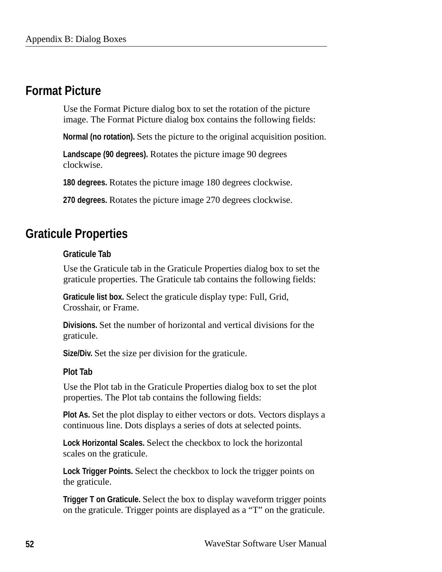## **Format Picture**

Use the Format Picture dialog box to set the rotation of the picture image. The Format Picture dialog box contains the following fields:

**Normal (no rotation).** Sets the picture to the original acquisition position.

**Landscape (90 degrees).** Rotates the picture image 90 degrees clockwise.

**180 degrees.** Rotates the picture image 180 degrees clockwise.

**270 degrees.** Rotates the picture image 270 degrees clockwise.

## **Graticule Properties**

#### **Graticule Tab**

Use the Graticule tab in the Graticule Properties dialog box to set the graticule properties. The Graticule tab contains the following fields:

**Graticule list box.** Select the graticule display type: Full, Grid, Crosshair, or Frame.

**Divisions.** Set the number of horizontal and vertical divisions for the graticule.

**Size/Div.** Set the size per division for the graticule.

#### **Plot Tab**

Use the Plot tab in the Graticule Properties dialog box to set the plot properties. The Plot tab contains the following fields:

**Plot As.** Set the plot display to either vectors or dots. Vectors displays a continuous line. Dots displays a series of dots at selected points.

**Lock Horizontal Scales.** Select the checkbox to lock the horizontal scales on the graticule.

**Lock Trigger Points.** Select the checkbox to lock the trigger points on the graticule.

**Trigger T on Graticule.** Select the box to display waveform trigger points on the graticule. Trigger points are displayed as a "T" on the graticule.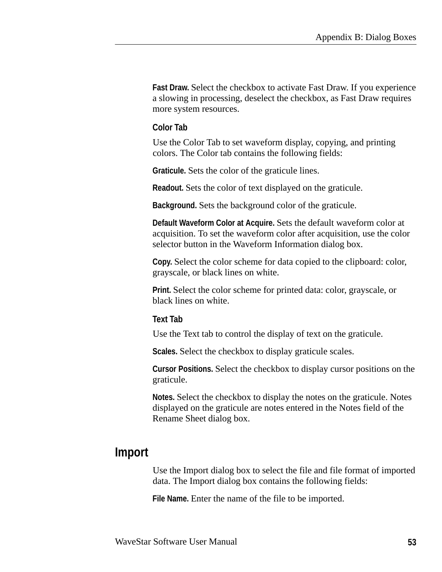**Fast Draw.** Select the checkbox to activate Fast Draw. If you experience a slowing in processing, deselect the checkbox, as Fast Draw requires more system resources.

#### **Color Tab**

Use the Color Tab to set waveform display, copying, and printing colors. The Color tab contains the following fields:

**Graticule.** Sets the color of the graticule lines.

**Readout.** Sets the color of text displayed on the graticule.

**Background.** Sets the background color of the graticule.

**Default Waveform Color at Acquire.** Sets the default waveform color at acquisition. To set the waveform color after acquisition, use the color selector button in the Waveform Information dialog box.

**Copy.** Select the color scheme for data copied to the clipboard: color, grayscale, or black lines on white.

**Print.** Select the color scheme for printed data: color, grayscale, or black lines on white.

#### **Text Tab**

Use the Text tab to control the display of text on the graticule.

**Scales.** Select the checkbox to display graticule scales.

**Cursor Positions.** Select the checkbox to display cursor positions on the graticule.

**Notes.** Select the checkbox to display the notes on the graticule. Notes displayed on the graticule are notes entered in the Notes field of the Rename Sheet dialog box.

### **Import**

Use the Import dialog box to select the file and file format of imported data. The Import dialog box contains the following fields:

**File Name.** Enter the name of the file to be imported.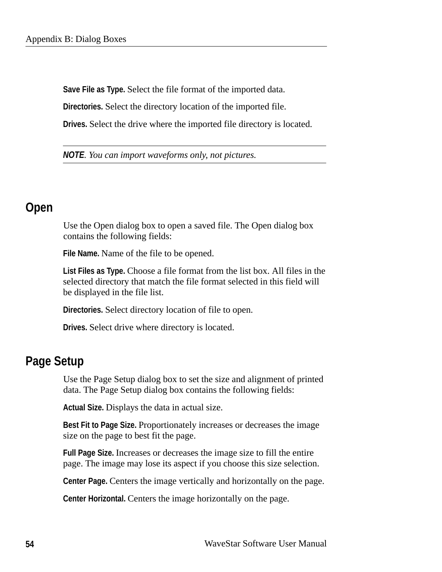**Save File as Type.** Select the file format of the imported data.

**Directories.** Select the directory location of the imported file.

**Drives.** Select the drive where the imported file directory is located.

*NOTE. You can import waveforms only, not pictures.*

### **Open**

Use the Open dialog box to open a saved file. The Open dialog box contains the following fields:

**File Name.** Name of the file to be opened.

**List Files as Type.** Choose a file format from the list box. All files in the selected directory that match the file format selected in this field will be displayed in the file list.

**Directories.** Select directory location of file to open.

**Drives.** Select drive where directory is located.

### **Page Setup**

Use the Page Setup dialog box to set the size and alignment of printed data. The Page Setup dialog box contains the following fields:

**Actual Size.** Displays the data in actual size.

**Best Fit to Page Size.** Proportionately increases or decreases the image size on the page to best fit the page.

**Full Page Size.** Increases or decreases the image size to fill the entire page. The image may lose its aspect if you choose this size selection.

**Center Page.** Centers the image vertically and horizontally on the page.

**Center Horizontal.** Centers the image horizontally on the page.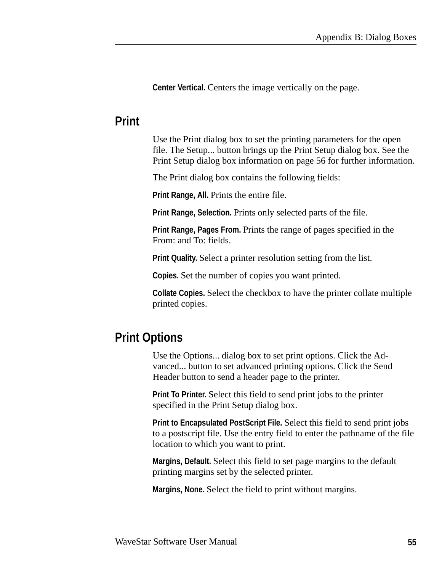**Center Vertical.** Centers the image vertically on the page.

### **Print**

Use the Print dialog box to set the printing parameters for the open file. The Setup... button brings up the Print Setup dialog box. See the Print Setup dialog box information on page 56 for further information.

The Print dialog box contains the following fields:

**Print Range, All. Prints the entire file.** 

**Print Range, Selection.** Prints only selected parts of the file.

**Print Range, Pages From.** Prints the range of pages specified in the From: and To: fields.

**Print Quality.** Select a printer resolution setting from the list.

**Copies.** Set the number of copies you want printed.

**Collate Copies.** Select the checkbox to have the printer collate multiple printed copies.

# **Print Options**

Use the Options... dialog box to set print options. Click the Advanced... button to set advanced printing options. Click the Send Header button to send a header page to the printer.

**Print To Printer.** Select this field to send print jobs to the printer specified in the Print Setup dialog box.

**Print to Encapsulated PostScript File.** Select this field to send print jobs to a postscript file. Use the entry field to enter the pathname of the file location to which you want to print.

**Margins, Default.** Select this field to set page margins to the default printing margins set by the selected printer.

**Margins, None.** Select the field to print without margins.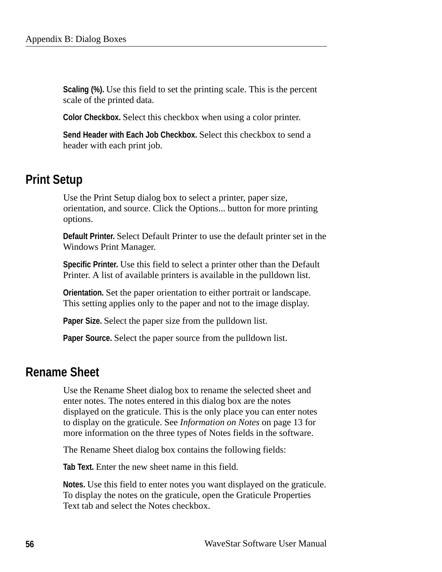**Scaling (%).** Use this field to set the printing scale. This is the percent scale of the printed data.

**Color Checkbox.** Select this checkbox when using a color printer.

**Send Header with Each Job Checkbox.** Select this checkbox to send a header with each print job.

# **Print Setup**

Use the Print Setup dialog box to select a printer, paper size, orientation, and source. Click the Options... button for more printing options.

**Default Printer.** Select Default Printer to use the default printer set in the Windows Print Manager.

**Specific Printer.** Use this field to select a printer other than the Default Printer. A list of available printers is available in the pulldown list.

**Orientation.** Set the paper orientation to either portrait or landscape. This setting applies only to the paper and not to the image display.

**Paper Size.** Select the paper size from the pulldown list.

**Paper Source.** Select the paper source from the pulldown list.

# **Rename Sheet**

Use the Rename Sheet dialog box to rename the selected sheet and enter notes. The notes entered in this dialog box are the notes displayed on the graticule. This is the only place you can enter notes to display on the graticule. See *Information on Notes* on page 13 for more information on the three types of Notes fields in the software.

The Rename Sheet dialog box contains the following fields:

**Tab Text.** Enter the new sheet name in this field.

**Notes.** Use this field to enter notes you want displayed on the graticule. To display the notes on the graticule, open the Graticule Properties Text tab and select the Notes checkbox.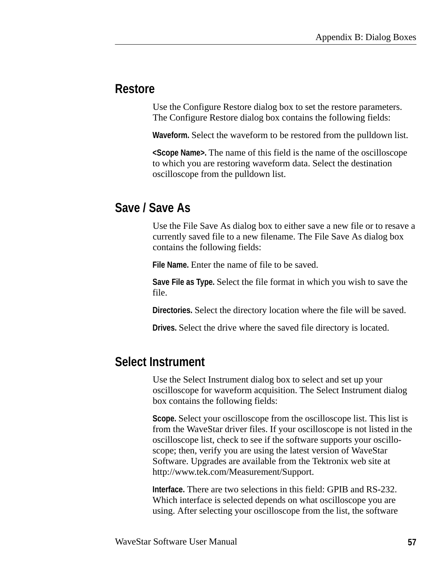# **Restore**

Use the Configure Restore dialog box to set the restore parameters. The Configure Restore dialog box contains the following fields:

**Waveform.** Select the waveform to be restored from the pulldown list.

**<Scope Name>.** The name of this field is the name of the oscilloscope to which you are restoring waveform data. Select the destination oscilloscope from the pulldown list.

# **Save / Save As**

Use the File Save As dialog box to either save a new file or to resave a currently saved file to a new filename. The File Save As dialog box contains the following fields:

**File Name.** Enter the name of file to be saved.

**Save File as Type.** Select the file format in which you wish to save the file.

**Directories.** Select the directory location where the file will be saved.

**Drives.** Select the drive where the saved file directory is located.

# **Select Instrument**

Use the Select Instrument dialog box to select and set up your oscilloscope for waveform acquisition. The Select Instrument dialog box contains the following fields:

**Scope.** Select your oscilloscope from the oscilloscope list. This list is from the WaveStar driver files. If your oscilloscope is not listed in the oscilloscope list, check to see if the software supports your oscilloscope; then, verify you are using the latest version of WaveStar Software. Upgrades are available from the Tektronix web site at http://www.tek.com/Measurement/Support.

**Interface.** There are two selections in this field: GPIB and RS-232. Which interface is selected depends on what oscilloscope you are using. After selecting your oscilloscope from the list, the software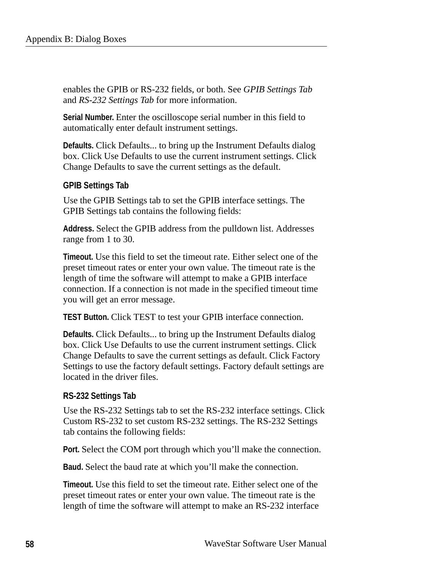enables the GPIB or RS-232 fields, or both. See *GPIB Settings Tab* and *RS-232 Settings Tab* for more information.

**Serial Number.** Enter the oscilloscope serial number in this field to automatically enter default instrument settings.

**Defaults.** Click Defaults... to bring up the Instrument Defaults dialog box. Click Use Defaults to use the current instrument settings. Click Change Defaults to save the current settings as the default.

#### **GPIB Settings Tab**

Use the GPIB Settings tab to set the GPIB interface settings. The GPIB Settings tab contains the following fields:

**Address.** Select the GPIB address from the pulldown list. Addresses range from 1 to 30.

**Timeout.** Use this field to set the timeout rate. Either select one of the preset timeout rates or enter your own value. The timeout rate is the length of time the software will attempt to make a GPIB interface connection. If a connection is not made in the specified timeout time you will get an error message.

**TEST Button.** Click TEST to test your GPIB interface connection.

**Defaults.** Click Defaults... to bring up the Instrument Defaults dialog box. Click Use Defaults to use the current instrument settings. Click Change Defaults to save the current settings as default. Click Factory Settings to use the factory default settings. Factory default settings are located in the driver files.

#### **RS-232 Settings Tab**

Use the RS-232 Settings tab to set the RS-232 interface settings. Click Custom RS-232 to set custom RS-232 settings. The RS-232 Settings tab contains the following fields:

**Port.** Select the COM port through which you'll make the connection.

**Baud.** Select the baud rate at which you'll make the connection.

**Timeout.** Use this field to set the timeout rate. Either select one of the preset timeout rates or enter your own value. The timeout rate is the length of time the software will attempt to make an RS-232 interface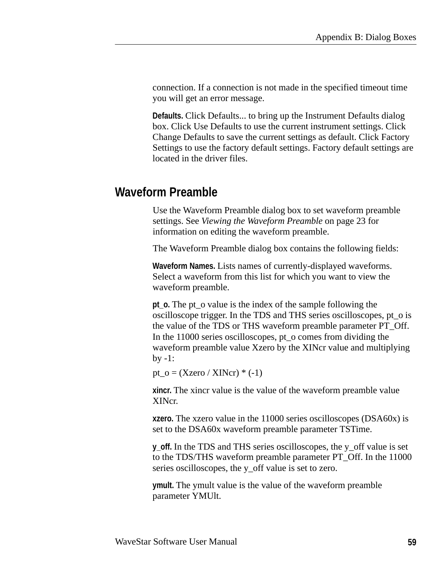connection. If a connection is not made in the specified timeout time you will get an error message.

**Defaults.** Click Defaults... to bring up the Instrument Defaults dialog box. Click Use Defaults to use the current instrument settings. Click Change Defaults to save the current settings as default. Click Factory Settings to use the factory default settings. Factory default settings are located in the driver files.

# **Waveform Preamble**

Use the Waveform Preamble dialog box to set waveform preamble settings. See *Viewing the Waveform Preamble* on page 23 for information on editing the waveform preamble.

The Waveform Preamble dialog box contains the following fields:

**Waveform Names.** Lists names of currently-displayed waveforms. Select a waveform from this list for which you want to view the waveform preamble.

**pt\_o.** The pt\_o value is the index of the sample following the oscilloscope trigger. In the TDS and THS series oscilloscopes, pt\_o is the value of the TDS or THS waveform preamble parameter PT\_Off. In the 11000 series oscilloscopes, pt\_o comes from dividing the waveform preamble value Xzero by the XINcr value and multiplying  $by -1$ :

pt\_o =  $(Xzero / XINcr)$  \*  $(-1)$ 

**xincr.** The xincr value is the value of the waveform preamble value XINcr.

**xzero.** The xzero value in the 11000 series oscilloscopes (DSA60x) is set to the DSA60x waveform preamble parameter TSTime.

**y\_off.** In the TDS and THS series oscilloscopes, the y\_off value is set to the TDS/THS waveform preamble parameter PT\_Off. In the 11000 series oscilloscopes, the y\_off value is set to zero.

**ymult.** The ymult value is the value of the waveform preamble parameter YMUlt.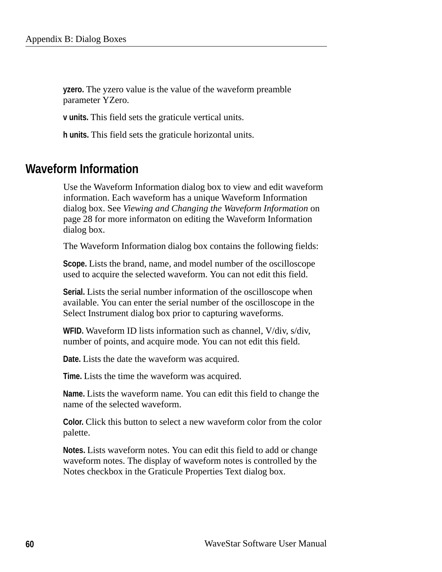**yzero.** The yzero value is the value of the waveform preamble parameter YZero.

**v units.** This field sets the graticule vertical units.

**h units.** This field sets the graticule horizontal units.

### **Waveform Information**

Use the Waveform Information dialog box to view and edit waveform information. Each waveform has a unique Waveform Information dialog box. See *Viewing and Changing the Waveform Information* on page 28 for more informaton on editing the Waveform Information dialog box.

The Waveform Information dialog box contains the following fields:

**Scope.** Lists the brand, name, and model number of the oscilloscope used to acquire the selected waveform. You can not edit this field.

**Serial.** Lists the serial number information of the oscilloscope when available. You can enter the serial number of the oscilloscope in the Select Instrument dialog box prior to capturing waveforms.

**WFID.** Waveform ID lists information such as channel, V/div, s/div, number of points, and acquire mode. You can not edit this field.

**Date.** Lists the date the waveform was acquired.

**Time.** Lists the time the waveform was acquired.

**Name.** Lists the waveform name. You can edit this field to change the name of the selected waveform.

**Color.** Click this button to select a new waveform color from the color palette.

**Notes.** Lists waveform notes. You can edit this field to add or change waveform notes. The display of waveform notes is controlled by the Notes checkbox in the Graticule Properties Text dialog box.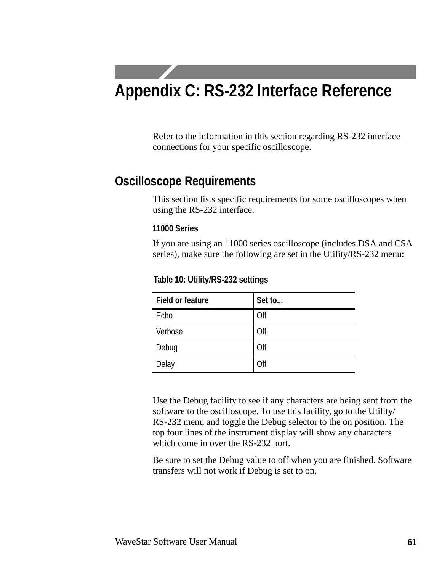# **Appendix C: RS-232 Interface Reference**

Refer to the information in this section regarding RS-232 interface connections for your specific oscilloscope.

# **Oscilloscope Requirements**

This section lists specific requirements for some oscilloscopes when using the RS-232 interface.

#### **11000 Series**

If you are using an 11000 series oscilloscope (includes DSA and CSA series), make sure the following are set in the Utility/RS-232 menu:

| <b>Field or feature</b> | Set to |
|-------------------------|--------|
| Echo                    | Off    |
| Verbose                 | Off    |
| Debug                   | Off    |
| Delay                   | Off    |

#### **Table 10: Utility/RS-232 settings**

Use the Debug facility to see if any characters are being sent from the software to the oscilloscope. To use this facility, go to the Utility/ RS-232 menu and toggle the Debug selector to the on position. The top four lines of the instrument display will show any characters which come in over the RS-232 port.

Be sure to set the Debug value to off when you are finished. Software transfers will not work if Debug is set to on.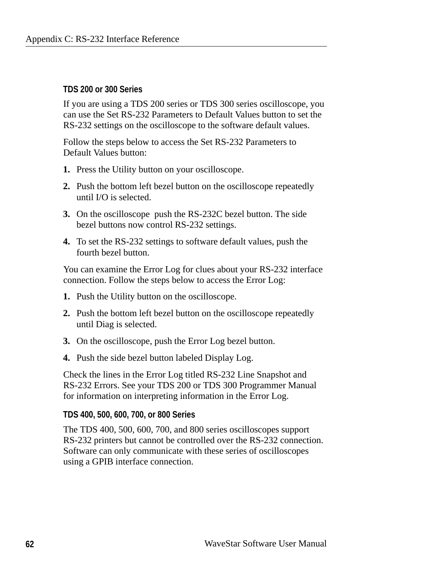#### **TDS 200 or 300 Series**

If you are using a TDS 200 series or TDS 300 series oscilloscope, you can use the Set RS-232 Parameters to Default Values button to set the RS-232 settings on the oscilloscope to the software default values.

Follow the steps below to access the Set RS-232 Parameters to Default Values button:

- **1.** Press the Utility button on your oscilloscope.
- **2.** Push the bottom left bezel button on the oscilloscope repeatedly until I/O is selected.
- **3.** On the oscilloscope push the RS-232C bezel button. The side bezel buttons now control RS-232 settings.
- **4.** To set the RS-232 settings to software default values, push the fourth bezel button.

You can examine the Error Log for clues about your RS-232 interface connection. Follow the steps below to access the Error Log:

- **1.** Push the Utility button on the oscilloscope.
- **2.** Push the bottom left bezel button on the oscilloscope repeatedly until Diag is selected.
- **3.** On the oscilloscope, push the Error Log bezel button.
- **4.** Push the side bezel button labeled Display Log.

Check the lines in the Error Log titled RS-232 Line Snapshot and RS-232 Errors. See your TDS 200 or TDS 300 Programmer Manual for information on interpreting information in the Error Log.

#### **TDS 400, 500, 600, 700, or 800 Series**

The TDS 400, 500, 600, 700, and 800 series oscilloscopes support RS-232 printers but cannot be controlled over the RS-232 connection. Software can only communicate with these series of oscilloscopes using a GPIB interface connection.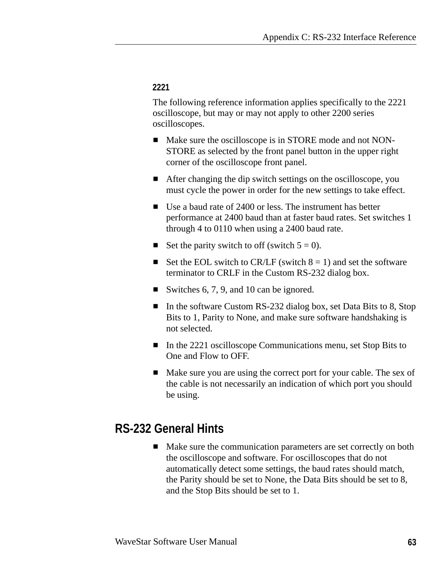#### **2221**

The following reference information applies specifically to the 2221 oscilloscope, but may or may not apply to other 2200 series oscilloscopes.

- Make sure the oscilloscope is in STORE mode and not NON-STORE as selected by the front panel button in the upper right corner of the oscilloscope front panel.
- After changing the dip switch settings on the oscilloscope, you must cycle the power in order for the new settings to take effect.
- Use a baud rate of 2400 or less. The instrument has better performance at 2400 baud than at faster baud rates. Set switches 1 through 4 to 0110 when using a 2400 baud rate.
- Set the parity switch to off (switch  $5 = 0$ ).
- Set the EOL switch to CR/LF (switch  $8 = 1$ ) and set the software terminator to CRLF in the Custom RS-232 dialog box.
- Switches 6, 7, 9, and 10 can be ignored.
- In the software Custom RS-232 dialog box, set Data Bits to 8, Stop Bits to 1, Parity to None, and make sure software handshaking is not selected.
- In the 2221 oscilloscope Communications menu, set Stop Bits to One and Flow to OFF.
- Make sure you are using the correct port for your cable. The sex of the cable is not necessarily an indication of which port you should be using.

## **RS-232 General Hints**

■ Make sure the communication parameters are set correctly on both the oscilloscope and software. For oscilloscopes that do not automatically detect some settings, the baud rates should match, the Parity should be set to None, the Data Bits should be set to 8, and the Stop Bits should be set to 1.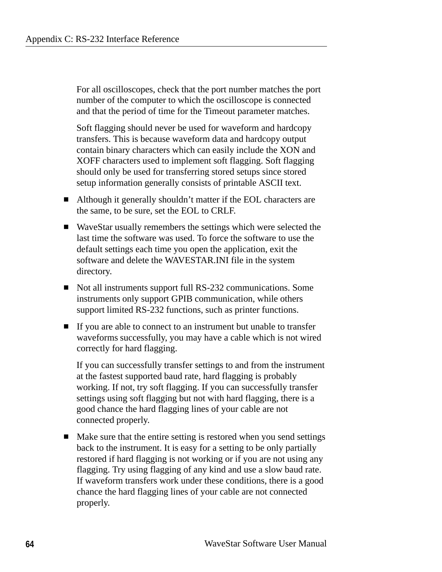For all oscilloscopes, check that the port number matches the port number of the computer to which the oscilloscope is connected and that the period of time for the Timeout parameter matches.

Soft flagging should never be used for waveform and hardcopy transfers. This is because waveform data and hardcopy output contain binary characters which can easily include the XON and XOFF characters used to implement soft flagging. Soft flagging should only be used for transferring stored setups since stored setup information generally consists of printable ASCII text.

- Although it generally shouldn't matter if the EOL characters are the same, to be sure, set the EOL to CRLF.
- WaveStar usually remembers the settings which were selected the last time the software was used. To force the software to use the default settings each time you open the application, exit the software and delete the WAVESTAR.INI file in the system directory.
- Not all instruments support full RS-232 communications. Some instruments only support GPIB communication, while others support limited RS-232 functions, such as printer functions.
- If you are able to connect to an instrument but unable to transfer waveforms successfully, you may have a cable which is not wired correctly for hard flagging.

If you can successfully transfer settings to and from the instrument at the fastest supported baud rate, hard flagging is probably working. If not, try soft flagging. If you can successfully transfer settings using soft flagging but not with hard flagging, there is a good chance the hard flagging lines of your cable are not connected properly.

■ Make sure that the entire setting is restored when you send settings back to the instrument. It is easy for a setting to be only partially restored if hard flagging is not working or if you are not using any flagging. Try using flagging of any kind and use a slow baud rate. If waveform transfers work under these conditions, there is a good chance the hard flagging lines of your cable are not connected properly.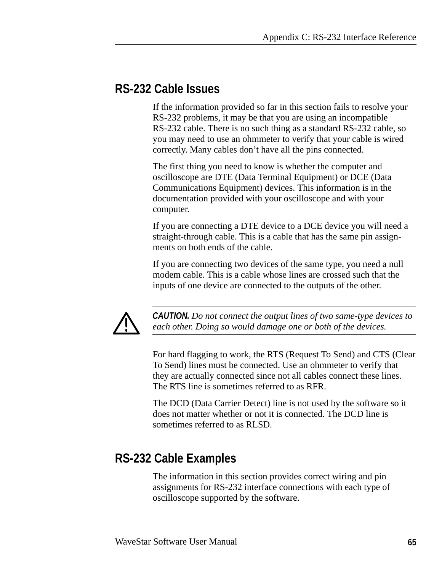#### **RS-232 Cable Issues**

If the information provided so far in this section fails to resolve your RS-232 problems, it may be that you are using an incompatible RS-232 cable. There is no such thing as a standard RS-232 cable, so you may need to use an ohmmeter to verify that your cable is wired correctly. Many cables don't have all the pins connected.

The first thing you need to know is whether the computer and oscilloscope are DTE (Data Terminal Equipment) or DCE (Data Communications Equipment) devices. This information is in the documentation provided with your oscilloscope and with your computer.

If you are connecting a DTE device to a DCE device you will need a straight-through cable. This is a cable that has the same pin assignments on both ends of the cable.

If you are connecting two devices of the same type, you need a null modem cable. This is a cable whose lines are crossed such that the inputs of one device are connected to the outputs of the other.



*CAUTION. Do not connect the output lines of two same-type devices to each other. Doing so would damage one or both of the devices.*

For hard flagging to work, the RTS (Request To Send) and CTS (Clear To Send) lines must be connected. Use an ohmmeter to verify that they are actually connected since not all cables connect these lines. The RTS line is sometimes referred to as RFR.

The DCD (Data Carrier Detect) line is not used by the software so it does not matter whether or not it is connected. The DCD line is sometimes referred to as RLSD.

## **RS-232 Cable Examples**

The information in this section provides correct wiring and pin assignments for RS-232 interface connections with each type of oscilloscope supported by the software.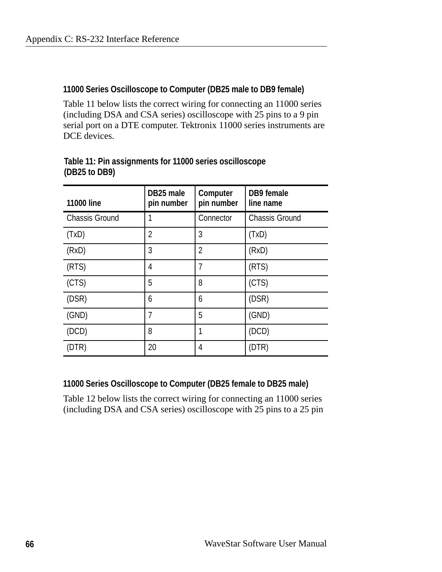#### **11000 Series Oscilloscope to Computer (DB25 male to DB9 female)**

Table 11 below lists the correct wiring for connecting an 11000 series (including DSA and CSA series) oscilloscope with 25 pins to a 9 pin serial port on a DTE computer. Tektronix 11000 series instruments are DCE devices.

| <b>11000 line</b>     | DB25 male<br>pin number | Computer<br>pin number | DB9 female<br>line name |
|-----------------------|-------------------------|------------------------|-------------------------|
| <b>Chassis Ground</b> | 1                       | Connector              | <b>Chassis Ground</b>   |
| (TxD)                 | $\overline{2}$          | 3                      | (TxD)                   |
| (RxD)                 | 3                       | $\overline{2}$         | (RxD)                   |
| (RTS)                 | 4                       | 7                      | (RTS)                   |
| (CTS)                 | 5                       | 8                      | (CTS)                   |
| (DSR)                 | 6                       | 6                      | (DSR)                   |
| (GND)                 | 7                       | 5                      | (GND)                   |
| (DCD)                 | 8                       | 1                      | (DCD)                   |
| (DTR)                 | 20                      | 4                      | (DTR)                   |

#### **Table 11: Pin assignments for 11000 series oscilloscope (DB25 to DB9)**

#### **11000 Series Oscilloscope to Computer (DB25 female to DB25 male)**

Table 12 below lists the correct wiring for connecting an 11000 series (including DSA and CSA series) oscilloscope with 25 pins to a 25 pin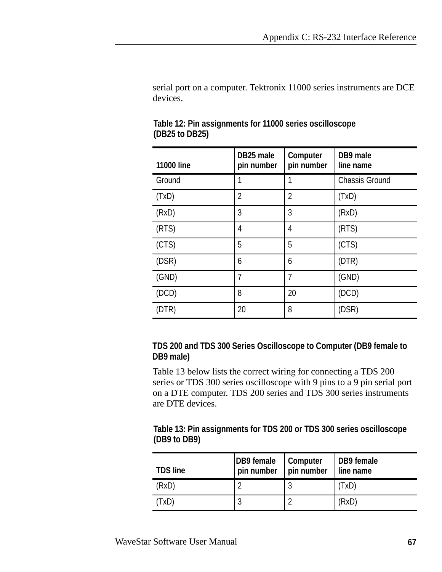serial port on a computer. Tektronix 11000 series instruments are DCE devices.

| <b>11000 line</b> | DB25 male<br>pin number | Computer<br>pin number | DB9 male<br>line name |
|-------------------|-------------------------|------------------------|-----------------------|
| Ground            |                         |                        | <b>Chassis Ground</b> |
| (TxD)             | $\overline{2}$          | $\overline{2}$         | (TxD)                 |
| (RxD)             | 3                       | 3                      | (RxD)                 |
| (RTS)             | 4                       | 4                      | (RTS)                 |
| (CTS)             | 5                       | 5                      | (CTS)                 |
| (DSR)             | 6                       | 6                      | (DTR)                 |
| (GND)             | 7                       | 7                      | (GND)                 |
| (DCD)             | 8                       | 20                     | (DCD)                 |
| (DTR)             | 20                      | 8                      | (DSR)                 |

|                | Table 12: Pin assignments for 11000 series oscilloscope |
|----------------|---------------------------------------------------------|
| (DB25 to DB25) |                                                         |

#### **TDS 200 and TDS 300 Series Oscilloscope to Computer (DB9 female to DB9 male)**

Table 13 below lists the correct wiring for connecting a TDS 200 series or TDS 300 series oscilloscope with 9 pins to a 9 pin serial port on a DTE computer. TDS 200 series and TDS 300 series instruments are DTE devices.

#### **Table 13: Pin assignments for TDS 200 or TDS 300 series oscilloscope (DB9 to DB9)**

| <b>TDS line</b> | DB9 female<br>pin number | Computer<br>$ $ pin number | DB9 female<br>line name |
|-----------------|--------------------------|----------------------------|-------------------------|
| (RxD)           | c                        |                            | (TxD)                   |
| (TxD)           | ົ                        |                            | (RxD)                   |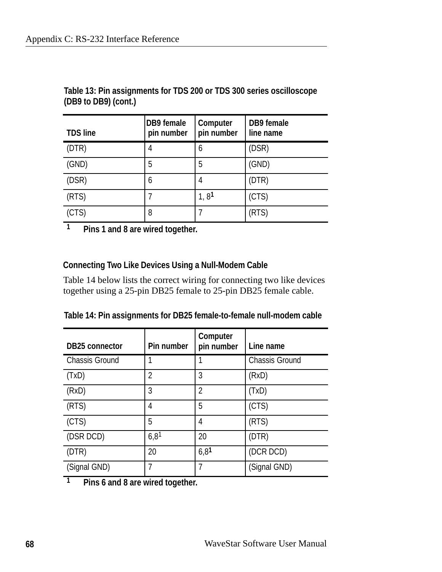| <b>TDS line</b> | <b>DB9</b> female<br>pin number | Computer<br>pin number | <b>DB9</b> female<br>line name |
|-----------------|---------------------------------|------------------------|--------------------------------|
| (DTR)           | 4                               | 6                      | (DSR)                          |
| (GND)           | 5                               | 5                      | (GND)                          |
| (DSR)           | 6                               | 4                      | (DTR)                          |
| (RTS)           | 7                               | 1, 8 <sup>1</sup>      | (CTS)                          |
| (CTS)           | 8                               |                        | (RTS)                          |

**Table 13: Pin assignments for TDS 200 or TDS 300 series oscilloscope (DB9 to DB9) (cont.)**

**1 Pins 1 and 8 are wired together.**

#### **Connecting Two Like Devices Using a Null-Modem Cable**

Table 14 below lists the correct wiring for connecting two like devices together using a 25-pin DB25 female to 25-pin DB25 female cable.

|  | Table 14: Pin assignments for DB25 female-to-female null-modem cable |
|--|----------------------------------------------------------------------|
|--|----------------------------------------------------------------------|

| <b>DB25 connector</b> | Pin number       | Computer<br>pin number   | Line name             |
|-----------------------|------------------|--------------------------|-----------------------|
| <b>Chassis Ground</b> |                  |                          | <b>Chassis Ground</b> |
| (TxD)                 | $\overline{2}$   | 3                        | (RxD)                 |
| (RxD)                 | 3                | $\overline{\phantom{a}}$ | (TxD)                 |
| (RTS)                 | 4                | 5                        | (CTS)                 |
| (CTS)                 | 5                | 4                        | (RTS)                 |
| (DSR DCD)             | 6,8 <sup>1</sup> | 20                       | (DTR)                 |
| (DTR)                 | 20               | 6,81                     | (DCR DCD)             |
| (Signal GND)          | 7                | 7                        | (Signal GND)          |

**1 Pins 6 and 8 are wired together.**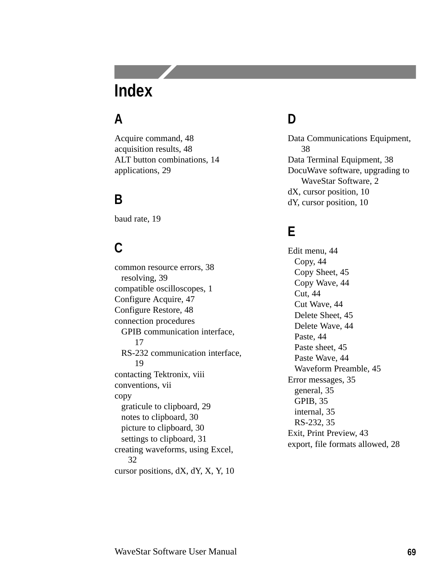# **Index**

## **A**

Acquire command, 48 acquisition results, 48 ALT button combinations, 14 applications, 29

## **B**

baud rate, 19

## **C**

common resource errors, 38 resolving, 39 compatible oscilloscopes, 1 Configure Acquire, 47 Configure Restore, 48 connection procedures GPIB communication interface, 17 RS-232 communication interface, 19 contacting Tektronix, viii conventions, vii copy graticule to clipboard, 29 notes to clipboard, 30 picture to clipboard, 30 settings to clipboard, 31 creating waveforms, using Excel, 32 cursor positions, dX, dY, X, Y, 10

## **D**

Data Communications Equipment, 38 Data Terminal Equipment, 38 DocuWave software, upgrading to WaveStar Software, 2 dX, cursor position, 10 dY, cursor position, 10

## **E**

Edit menu, 44 Copy, 44 Copy Sheet, 45 Copy Wave, 44 Cut, 44 Cut Wave, 44 Delete Sheet, 45 Delete Wave, 44 Paste, 44 Paste sheet, 45 Paste Wave, 44 Waveform Preamble, 45 Error messages, 35 general, 35 GPIB, 35 internal, 35 RS-232, 35 Exit, Print Preview, 43 export, file formats allowed, 28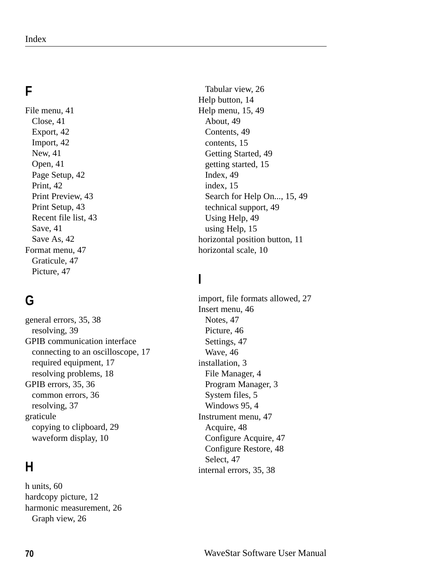# **F**

File menu, 41 Close, 41 Export, 42 Import, 42 New, 41 Open, 41 Page Setup, 42 Print, 42 Print Preview, 43 Print Setup, 43 Recent file list, 43 Save, 41 Save As, 42 Format menu, 47 Graticule, 47 Picture, 47

# **G**

general errors, 35, 38 resolving, 39 GPIB communication interface connecting to an oscilloscope, 17 required equipment, 17 resolving problems, 18 GPIB errors, 35, 36 common errors, 36 resolving, 37 graticule copying to clipboard, 29 waveform display, 10

## **H**

h units, 60 hardcopy picture, 12 harmonic measurement, 26 Graph view, 26

Tabular view, 26 Help button, 14 Help menu, 15, 49 About, 49 Contents, 49 contents, 15 Getting Started, 49 getting started, 15 Index, 49 index, 15 Search for Help On..., 15, 49 technical support, 49 Using Help, 49 using Help, 15 horizontal position button, 11 horizontal scale, 10

# **I**

import, file formats allowed, 27 Insert menu, 46 Notes, 47 Picture, 46 Settings, 47 Wave, 46 installation, 3 File Manager, 4 Program Manager, 3 System files, 5 Windows 95, 4 Instrument menu, 47 Acquire, 48 Configure Acquire, 47 Configure Restore, 48 Select, 47 internal errors, 35, 38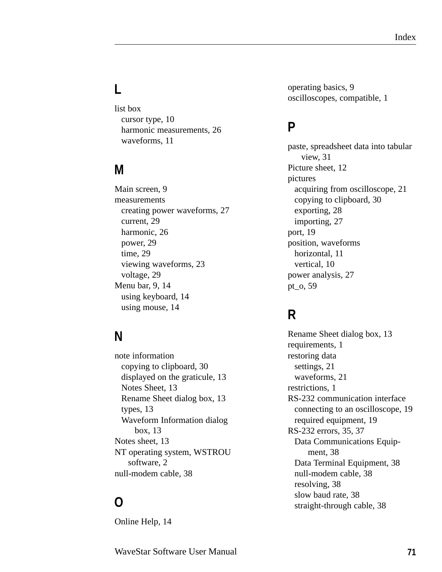# **L**

list box cursor type, 10 harmonic measurements, 26 waveforms, 11

## **M**

Main screen, 9 measurements creating power waveforms, 27 current, 29 harmonic, 26 power, 29 time, 29 viewing waveforms, 23 voltage, 29 Menu bar, 9, 14 using keyboard, 14 using mouse, 14

#### **N**

note information copying to clipboard, 30 displayed on the graticule, 13 Notes Sheet, 13 Rename Sheet dialog box, 13 types, 13 Waveform Information dialog box, 13 Notes sheet, 13 NT operating system, WSTROU software, 2 null-modem cable, 38

## **O**

Online Help, 14

operating basics, 9 oscilloscopes, compatible, 1

#### **P**

paste, spreadsheet data into tabular view, 31 Picture sheet, 12 pictures acquiring from oscilloscope, 21 copying to clipboard, 30 exporting, 28 importing, 27 port, 19 position, waveforms horizontal, 11 vertical, 10 power analysis, 27 pt\_o, 59

## **R**

Rename Sheet dialog box, 13 requirements, 1 restoring data settings, 21 waveforms, 21 restrictions, 1 RS-232 communication interface connecting to an oscilloscope, 19 required equipment, 19 RS-232 errors, 35, 37 Data Communications Equipment, 38 Data Terminal Equipment, 38 null-modem cable, 38 resolving, 38 slow baud rate, 38 straight-through cable, 38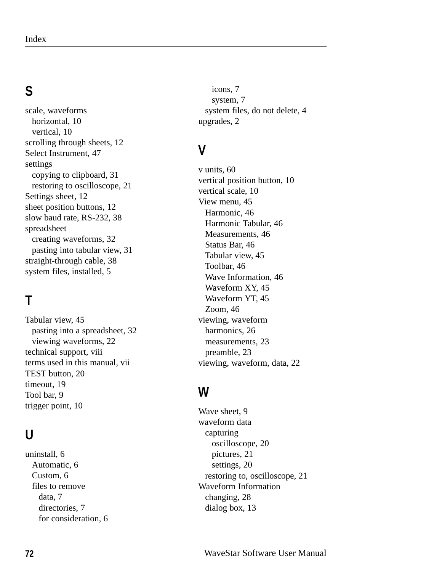# **S**

scale, waveforms horizontal, 10 vertical, 10 scrolling through sheets, 12 Select Instrument, 47 settings copying to clipboard, 31 restoring to oscilloscope, 21 Settings sheet, 12 sheet position buttons, 12 slow baud rate, RS-232, 38 spreadsheet creating waveforms, 32 pasting into tabular view, 31 straight-through cable, 38 system files, installed, 5

# **T**

Tabular view, 45 pasting into a spreadsheet, 32 viewing waveforms, 22 technical support, viii terms used in this manual, vii TEST button, 20 timeout, 19 Tool bar, 9 trigger point, 10

## **U**

uninstall, 6 Automatic, 6 Custom, 6 files to remove data, 7 directories, 7 for consideration, 6

icons, 7 system, 7 system files, do not delete, 4 upgrades, 2

## **V**

v units, 60 vertical position button, 10 vertical scale, 10 View menu, 45 Harmonic, 46 Harmonic Tabular, 46 Measurements, 46 Status Bar, 46 Tabular view, 45 Toolbar, 46 Wave Information, 46 Waveform XY, 45 Waveform YT, 45 Zoom, 46 viewing, waveform harmonics, 26 measurements, 23 preamble, 23 viewing, waveform, data, 22

#### **W**

Wave sheet, 9 waveform data capturing oscilloscope, 20 pictures, 21 settings, 20 restoring to, oscilloscope, 21 Waveform Information changing, 28 dialog box, 13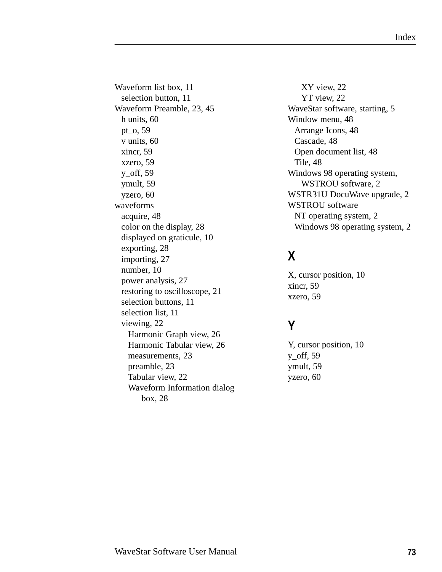Waveform list box, 11 selection button, 11 Waveform Preamble, 23, 45 h units, 60 pt\_o, 59 v units, 60 xincr, 59 xzero, 59 y\_off, 59 ymult, 59 yzero, 60 waveforms acquire, 48 color on the display, 28 displayed on graticule, 10 exporting, 28 importing, 27 number, 10 power analysis, 27 restoring to oscilloscope, 21 selection buttons, 11 selection list, 11 viewing, 22 Harmonic Graph view, 26 Harmonic Tabular view, 26 measurements, 23 preamble, 23 Tabular view, 22 Waveform Information dialog box, 28

XY view, 22 YT view, 22 WaveStar software, starting, 5 Window menu, 48 Arrange Icons, 48 Cascade, 48 Open document list, 48 Tile, 48 Windows 98 operating system, WSTROU software, 2 WSTR31U DocuWave upgrade, 2 WSTROU software NT operating system, 2 Windows 98 operating system, 2

# **X**

X, cursor position, 10 xincr, 59 xzero, 59

## **Y**

Y, cursor position, 10 y\_off, 59 ymult, 59 yzero, 60